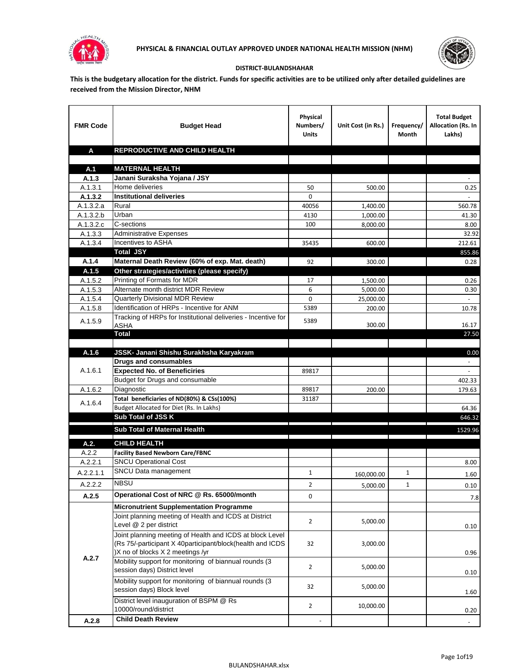



## **DISTRICT-BULANDSHAHAR**

**This is the budgetary allocation for the district. Funds for specific activities are to be utilized only after detailed guidelines are received from the Mission Director, NHM**

| <b>FMR Code</b>      | <b>Budget Head</b>                                                  | Physical<br>Numbers/<br><b>Units</b>                                            | Unit Cost (in Rs.) | Frequency/<br>Month             | <b>Total Budget</b><br>Allocation (Rs. In<br>Lakhs) |
|----------------------|---------------------------------------------------------------------|---------------------------------------------------------------------------------|--------------------|---------------------------------|-----------------------------------------------------|
| A                    | <b>REPRODUCTIVE AND CHILD HEALTH</b>                                |                                                                                 |                    |                                 |                                                     |
|                      |                                                                     |                                                                                 |                    |                                 |                                                     |
| A.1                  | <b>MATERNAL HEALTH</b>                                              |                                                                                 |                    |                                 |                                                     |
| A.1.3                | Janani Suraksha Yojana / JSY                                        |                                                                                 |                    |                                 |                                                     |
| A.1.3.1              | Home deliveries                                                     | 50                                                                              | 500.00             |                                 | 0.25                                                |
| A.1.3.2              | <b>Institutional deliveries</b>                                     | 0                                                                               |                    |                                 |                                                     |
| A.1.3.2.a            | Rural                                                               | 40056                                                                           | 1,400.00           |                                 | 560.78                                              |
| A.1.3.2.b            | Urban<br>C-sections                                                 | 4130                                                                            | 1,000.00           |                                 | 41.30                                               |
| A.1.3.2.c<br>A.1.3.3 | <b>Administrative Expenses</b>                                      | 100                                                                             | 8,000.00           |                                 | 8.00                                                |
| A.1.3.4              | Incentives to ASHA                                                  | 35435                                                                           | 600.00             |                                 | 32.92<br>212.61                                     |
|                      | <b>Total JSY</b>                                                    |                                                                                 |                    |                                 | 855.86                                              |
| A.1.4                | Maternal Death Review (60% of exp. Mat. death)                      | 92                                                                              | 300.00             |                                 | 0.28                                                |
| A.1.5                | Other strategies/activities (please specify)                        |                                                                                 |                    |                                 |                                                     |
| A.1.5.2              | Printing of Formats for MDR                                         | 17                                                                              | 1,500.00           |                                 | 0.26                                                |
| A.1.5.3              | Alternate month district MDR Review                                 | 6                                                                               | 5,000.00           |                                 | 0.30                                                |
| A.1.5.4              | <b>Quarterly Divisional MDR Review</b>                              | 0                                                                               | 25,000.00          |                                 |                                                     |
| A.1.5.8              | Identification of HRPs - Incentive for ANM                          | 5389                                                                            | 200.00             |                                 | 10.78                                               |
| A.1.5.9              | Tracking of HRPs for Institutional deliveries - Incentive for       | 5389                                                                            |                    |                                 |                                                     |
|                      | ASHA                                                                |                                                                                 | 300.00             |                                 | 16.17                                               |
|                      | Total                                                               |                                                                                 |                    |                                 | 27.50                                               |
|                      |                                                                     |                                                                                 |                    |                                 |                                                     |
| A.1.6                | JSSK- Janani Shishu Surakhsha Karyakram                             |                                                                                 |                    |                                 | 0.00                                                |
| A.1.6.1              | <b>Drugs and consumables</b><br><b>Expected No. of Beneficiries</b> | 89817                                                                           |                    |                                 | $\sim$                                              |
|                      | Budget for Drugs and consumable                                     |                                                                                 |                    |                                 | 402.33                                              |
| A.1.6.2              | Diagnostic                                                          | 89817                                                                           | 200.00             |                                 | 179.63                                              |
|                      | Total beneficiaries of ND(80%) & CSs(100%)                          | 31187                                                                           |                    |                                 |                                                     |
| A.1.6.4              | Budget Allocated for Diet (Rs. In Lakhs)                            |                                                                                 |                    |                                 | 64.36                                               |
|                      | <b>Sub Total of JSS K</b>                                           |                                                                                 |                    |                                 | 646.32                                              |
|                      | Sub Total of Maternal Health                                        |                                                                                 |                    |                                 | 1529.96                                             |
|                      |                                                                     | the contract of the contract of the contract of the contract of the contract of |                    | the contract of the contract of |                                                     |
| A.2.                 | <b>CHILD HEALTH</b>                                                 |                                                                                 |                    |                                 |                                                     |
| A.2.2                | <b>Facility Based Newborn Care/FBNC</b>                             |                                                                                 |                    |                                 |                                                     |
| A.2.2.1              | <b>SNCU Operational Cost</b>                                        |                                                                                 |                    |                                 | 8.00                                                |
| A.2.2.1.1            | SNCU Data management                                                | $\mathbf{1}$                                                                    | 160,000.00         | 1                               | 1.60                                                |
| A.2.2.2              | <b>NBSU</b>                                                         | $\overline{2}$                                                                  | 5,000.00           | 1                               | 0.10                                                |
| A.2.5                | Operational Cost of NRC @ Rs. 65000/month                           | 0                                                                               |                    |                                 | 7.8                                                 |
|                      | <b>Micronutrient Supplementation Programme</b>                      |                                                                                 |                    |                                 |                                                     |
|                      | Joint planning meeting of Health and ICDS at District               |                                                                                 |                    |                                 |                                                     |
|                      | Level @ 2 per district                                              | $\overline{2}$                                                                  | 5,000.00           |                                 | 0.10                                                |
|                      | Joint planning meeting of Health and ICDS at block Level            |                                                                                 |                    |                                 |                                                     |
|                      | (Rs 75/-participant X 40participant/block(health and ICDS           | 32                                                                              | 3,000.00           |                                 |                                                     |
| A.2.7                | )X no of blocks X 2 meetings /yr                                    |                                                                                 |                    |                                 | 0.96                                                |
|                      | Mobility support for monitoring of biannual rounds (3               | $\overline{2}$                                                                  | 5,000.00           |                                 |                                                     |
|                      | session days) District level                                        |                                                                                 |                    |                                 | 0.10                                                |
|                      | Mobility support for monitoring of biannual rounds (3               | 32                                                                              | 5,000.00           |                                 |                                                     |
|                      | session days) Block level                                           |                                                                                 |                    |                                 | 1.60                                                |
|                      | District level inauguration of BSPM @ Rs                            | $\overline{2}$                                                                  | 10,000.00          |                                 |                                                     |
|                      | 10000/round/district                                                |                                                                                 |                    |                                 | 0.20                                                |
| A.2.8                | <b>Child Death Review</b>                                           |                                                                                 |                    |                                 |                                                     |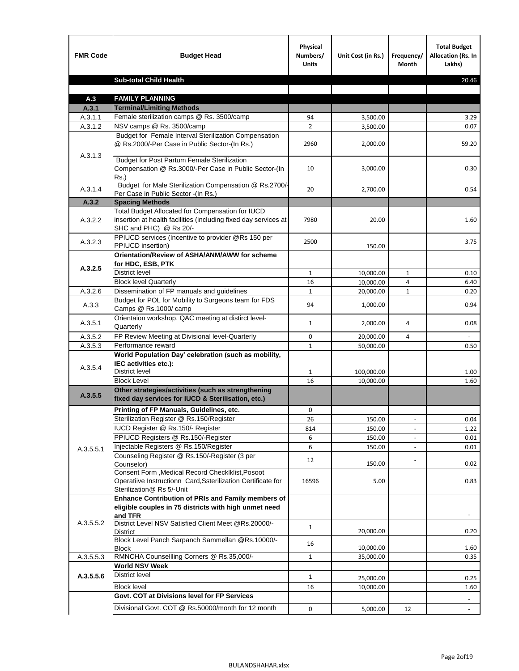| <b>Sub-total Child Health</b><br>20.46<br><b>FAMILY PLANNING</b><br>A.3<br><b>Terminal/Limiting Methods</b><br>A.3.1<br>Female sterilization camps @ Rs. 3500/camp<br>A.3.1.1<br>3.29<br>94<br>3,500.00<br>NSV camps @ Rs. 3500/camp<br>A.3.1.2<br>$\overline{2}$<br>0.07<br>3,500.00<br>Budget for Female Interval Sterilization Compensation<br>@ Rs.2000/-Per Case in Public Sector-(In Rs.)<br>2960<br>59.20<br>2,000.00<br>A.3.1.3<br><b>Budget for Post Partum Female Sterilization</b><br>Compensation @ Rs.3000/-Per Case in Public Sector-(In<br>0.30<br>10<br>3,000.00<br>$Rs.$ )<br>Budget for Male Sterilization Compensation @ Rs.2700/-<br>A.3.1.4<br>20<br>0.54<br>2,700.00<br>Per Case in Public Sector -(In Rs.)<br>A.3.2<br><b>Spacing Methods</b><br>Total Budget Allocated for Compensation for IUCD<br>insertion at health facilities (including fixed day services at<br>A.3.2.2<br>7980<br>20.00<br>1.60<br>SHC and PHC) @ Rs 20/-<br>PPIUCD services (Incentive to provider @Rs 150 per<br>A.3.2.3<br>2500<br>3.75<br>PPIUCD insertion)<br>150.00<br>Orientation/Review of ASHA/ANM/AWW for scheme<br>for HDC, ESB, PTK<br>A.3.2.5<br><b>District level</b><br>$\mathbf{1}$<br>10,000.00<br>0.10<br>$\mathbf{1}$<br><b>Block level Quarterly</b><br>16<br>10,000.00<br>4<br>6.40<br>Dissemination of FP manuals and guidelines<br>A.3.2.6<br>$\mathbf{1}$<br>1<br>0.20<br>20,000.00<br>Budget for POL for Mobility to Surgeons team for FDS<br>A.3.3<br>94<br>1,000.00<br>0.94<br>Camps @ Rs.1000/camp<br>Orientaion workshop, QAC meeting at distirct level-<br>A.3.5.1<br>1<br>2,000.00<br>4<br>0.08<br>Quarterly<br>FP Review Meeting at Divisional level-Quarterly<br>A.3.5.2<br>0<br>20,000.00<br>4<br>A.3.5.3<br>Performance reward<br>$\mathbf{1}$<br>50,000.00<br>0.50<br>World Population Day' celebration (such as mobility,<br>IEC activities etc.):<br>A.3.5.4<br>District level<br>$\mathbf{1}$<br>100,000.00<br>1.00<br><b>Block Level</b><br>16<br>1.60<br>10,000.00<br>Other strategies/activities (such as strengthening<br>A.3.5.5<br>fixed day services for IUCD & Sterilisation, etc.)<br>Printing of FP Manuals, Guidelines, etc.<br>$\mathbf 0$<br>Sterilization Register @ Rs.150/Register<br>26<br>150.00<br>0.04<br>IUCD Register @ Rs.150/- Register<br>814<br>150.00<br>1.22<br>PPIUCD Registers @ Rs.150/-Register<br>150.00<br>0.01<br>6<br>Injectable Registers @ Rs.150/Register<br>6<br>150.00<br>0.01<br>A.3.5.5.1<br>Counseling Register @ Rs.150/-Register (3 per<br>12<br>Counselor)<br>150.00<br>0.02<br>Consent Form , Medical Record CheckIklist, Posoot<br>Operatiive Instructionn Card, Ssterilization Certificate for<br>5.00<br>0.83<br>16596<br>Sterilization@ Rs 5/-Unit<br>Enhance Contribution of PRIs and Family members of<br>eligible couples in 75 districts with high unmet need<br>and TFR<br>District Level NSV Satisfied Client Meet @Rs.20000/-<br>A.3.5.5.2<br>$\mathbf{1}$<br>20,000.00<br>0.20<br><b>District</b><br>Block Level Panch Sarpanch Sammellan @Rs.10000/-<br>16<br>10,000.00<br><b>Block</b><br>1.60<br>RMNCHA Counsellling Corners @ Rs.35,000/-<br>A.3.5.5.3<br>$\mathbf{1}$<br>35,000.00<br>0.35<br><b>World NSV Week</b><br><b>District level</b><br>A.3.5.5.6<br>1<br>25,000.00<br>0.25<br><b>Block level</b><br>16<br>10,000.00<br>1.60<br>Govt. COT at Divisions level for FP Services<br>Divisional Govt. COT @ Rs.50000/month for 12 month<br>0<br>5,000.00<br>12 | <b>FMR Code</b> | <b>Budget Head</b> | Physical<br>Numbers/<br><b>Units</b> | Unit Cost (in Rs.) | Frequency/<br>Month | <b>Total Budget</b><br><b>Allocation (Rs. In</b><br>Lakhs) |
|---------------------------------------------------------------------------------------------------------------------------------------------------------------------------------------------------------------------------------------------------------------------------------------------------------------------------------------------------------------------------------------------------------------------------------------------------------------------------------------------------------------------------------------------------------------------------------------------------------------------------------------------------------------------------------------------------------------------------------------------------------------------------------------------------------------------------------------------------------------------------------------------------------------------------------------------------------------------------------------------------------------------------------------------------------------------------------------------------------------------------------------------------------------------------------------------------------------------------------------------------------------------------------------------------------------------------------------------------------------------------------------------------------------------------------------------------------------------------------------------------------------------------------------------------------------------------------------------------------------------------------------------------------------------------------------------------------------------------------------------------------------------------------------------------------------------------------------------------------------------------------------------------------------------------------------------------------------------------------------------------------------------------------------------------------------------------------------------------------------------------------------------------------------------------------------------------------------------------------------------------------------------------------------------------------------------------------------------------------------------------------------------------------------------------------------------------------------------------------------------------------------------------------------------------------------------------------------------------------------------------------------------------------------------------------------------------------------------------------------------------------------------------------------------------------------------------------------------------------------------------------------------------------------------------------------------------------------------------------------------------------------------------------------------------------------------------------------------------------------------------------------------------------------------------------------------------------------------------------------------------------------------------------------------------------------------------------------------------------------------------------------------------------------------------------------------------------------------------|-----------------|--------------------|--------------------------------------|--------------------|---------------------|------------------------------------------------------------|
|                                                                                                                                                                                                                                                                                                                                                                                                                                                                                                                                                                                                                                                                                                                                                                                                                                                                                                                                                                                                                                                                                                                                                                                                                                                                                                                                                                                                                                                                                                                                                                                                                                                                                                                                                                                                                                                                                                                                                                                                                                                                                                                                                                                                                                                                                                                                                                                                                                                                                                                                                                                                                                                                                                                                                                                                                                                                                                                                                                                                                                                                                                                                                                                                                                                                                                                                                                                                                                                                           |                 |                    |                                      |                    |                     |                                                            |
|                                                                                                                                                                                                                                                                                                                                                                                                                                                                                                                                                                                                                                                                                                                                                                                                                                                                                                                                                                                                                                                                                                                                                                                                                                                                                                                                                                                                                                                                                                                                                                                                                                                                                                                                                                                                                                                                                                                                                                                                                                                                                                                                                                                                                                                                                                                                                                                                                                                                                                                                                                                                                                                                                                                                                                                                                                                                                                                                                                                                                                                                                                                                                                                                                                                                                                                                                                                                                                                                           |                 |                    |                                      |                    |                     |                                                            |
|                                                                                                                                                                                                                                                                                                                                                                                                                                                                                                                                                                                                                                                                                                                                                                                                                                                                                                                                                                                                                                                                                                                                                                                                                                                                                                                                                                                                                                                                                                                                                                                                                                                                                                                                                                                                                                                                                                                                                                                                                                                                                                                                                                                                                                                                                                                                                                                                                                                                                                                                                                                                                                                                                                                                                                                                                                                                                                                                                                                                                                                                                                                                                                                                                                                                                                                                                                                                                                                                           |                 |                    |                                      |                    |                     |                                                            |
|                                                                                                                                                                                                                                                                                                                                                                                                                                                                                                                                                                                                                                                                                                                                                                                                                                                                                                                                                                                                                                                                                                                                                                                                                                                                                                                                                                                                                                                                                                                                                                                                                                                                                                                                                                                                                                                                                                                                                                                                                                                                                                                                                                                                                                                                                                                                                                                                                                                                                                                                                                                                                                                                                                                                                                                                                                                                                                                                                                                                                                                                                                                                                                                                                                                                                                                                                                                                                                                                           |                 |                    |                                      |                    |                     |                                                            |
|                                                                                                                                                                                                                                                                                                                                                                                                                                                                                                                                                                                                                                                                                                                                                                                                                                                                                                                                                                                                                                                                                                                                                                                                                                                                                                                                                                                                                                                                                                                                                                                                                                                                                                                                                                                                                                                                                                                                                                                                                                                                                                                                                                                                                                                                                                                                                                                                                                                                                                                                                                                                                                                                                                                                                                                                                                                                                                                                                                                                                                                                                                                                                                                                                                                                                                                                                                                                                                                                           |                 |                    |                                      |                    |                     |                                                            |
|                                                                                                                                                                                                                                                                                                                                                                                                                                                                                                                                                                                                                                                                                                                                                                                                                                                                                                                                                                                                                                                                                                                                                                                                                                                                                                                                                                                                                                                                                                                                                                                                                                                                                                                                                                                                                                                                                                                                                                                                                                                                                                                                                                                                                                                                                                                                                                                                                                                                                                                                                                                                                                                                                                                                                                                                                                                                                                                                                                                                                                                                                                                                                                                                                                                                                                                                                                                                                                                                           |                 |                    |                                      |                    |                     |                                                            |
|                                                                                                                                                                                                                                                                                                                                                                                                                                                                                                                                                                                                                                                                                                                                                                                                                                                                                                                                                                                                                                                                                                                                                                                                                                                                                                                                                                                                                                                                                                                                                                                                                                                                                                                                                                                                                                                                                                                                                                                                                                                                                                                                                                                                                                                                                                                                                                                                                                                                                                                                                                                                                                                                                                                                                                                                                                                                                                                                                                                                                                                                                                                                                                                                                                                                                                                                                                                                                                                                           |                 |                    |                                      |                    |                     |                                                            |
|                                                                                                                                                                                                                                                                                                                                                                                                                                                                                                                                                                                                                                                                                                                                                                                                                                                                                                                                                                                                                                                                                                                                                                                                                                                                                                                                                                                                                                                                                                                                                                                                                                                                                                                                                                                                                                                                                                                                                                                                                                                                                                                                                                                                                                                                                                                                                                                                                                                                                                                                                                                                                                                                                                                                                                                                                                                                                                                                                                                                                                                                                                                                                                                                                                                                                                                                                                                                                                                                           |                 |                    |                                      |                    |                     |                                                            |
|                                                                                                                                                                                                                                                                                                                                                                                                                                                                                                                                                                                                                                                                                                                                                                                                                                                                                                                                                                                                                                                                                                                                                                                                                                                                                                                                                                                                                                                                                                                                                                                                                                                                                                                                                                                                                                                                                                                                                                                                                                                                                                                                                                                                                                                                                                                                                                                                                                                                                                                                                                                                                                                                                                                                                                                                                                                                                                                                                                                                                                                                                                                                                                                                                                                                                                                                                                                                                                                                           |                 |                    |                                      |                    |                     |                                                            |
|                                                                                                                                                                                                                                                                                                                                                                                                                                                                                                                                                                                                                                                                                                                                                                                                                                                                                                                                                                                                                                                                                                                                                                                                                                                                                                                                                                                                                                                                                                                                                                                                                                                                                                                                                                                                                                                                                                                                                                                                                                                                                                                                                                                                                                                                                                                                                                                                                                                                                                                                                                                                                                                                                                                                                                                                                                                                                                                                                                                                                                                                                                                                                                                                                                                                                                                                                                                                                                                                           |                 |                    |                                      |                    |                     |                                                            |
|                                                                                                                                                                                                                                                                                                                                                                                                                                                                                                                                                                                                                                                                                                                                                                                                                                                                                                                                                                                                                                                                                                                                                                                                                                                                                                                                                                                                                                                                                                                                                                                                                                                                                                                                                                                                                                                                                                                                                                                                                                                                                                                                                                                                                                                                                                                                                                                                                                                                                                                                                                                                                                                                                                                                                                                                                                                                                                                                                                                                                                                                                                                                                                                                                                                                                                                                                                                                                                                                           |                 |                    |                                      |                    |                     |                                                            |
|                                                                                                                                                                                                                                                                                                                                                                                                                                                                                                                                                                                                                                                                                                                                                                                                                                                                                                                                                                                                                                                                                                                                                                                                                                                                                                                                                                                                                                                                                                                                                                                                                                                                                                                                                                                                                                                                                                                                                                                                                                                                                                                                                                                                                                                                                                                                                                                                                                                                                                                                                                                                                                                                                                                                                                                                                                                                                                                                                                                                                                                                                                                                                                                                                                                                                                                                                                                                                                                                           |                 |                    |                                      |                    |                     |                                                            |
|                                                                                                                                                                                                                                                                                                                                                                                                                                                                                                                                                                                                                                                                                                                                                                                                                                                                                                                                                                                                                                                                                                                                                                                                                                                                                                                                                                                                                                                                                                                                                                                                                                                                                                                                                                                                                                                                                                                                                                                                                                                                                                                                                                                                                                                                                                                                                                                                                                                                                                                                                                                                                                                                                                                                                                                                                                                                                                                                                                                                                                                                                                                                                                                                                                                                                                                                                                                                                                                                           |                 |                    |                                      |                    |                     |                                                            |
|                                                                                                                                                                                                                                                                                                                                                                                                                                                                                                                                                                                                                                                                                                                                                                                                                                                                                                                                                                                                                                                                                                                                                                                                                                                                                                                                                                                                                                                                                                                                                                                                                                                                                                                                                                                                                                                                                                                                                                                                                                                                                                                                                                                                                                                                                                                                                                                                                                                                                                                                                                                                                                                                                                                                                                                                                                                                                                                                                                                                                                                                                                                                                                                                                                                                                                                                                                                                                                                                           |                 |                    |                                      |                    |                     |                                                            |
|                                                                                                                                                                                                                                                                                                                                                                                                                                                                                                                                                                                                                                                                                                                                                                                                                                                                                                                                                                                                                                                                                                                                                                                                                                                                                                                                                                                                                                                                                                                                                                                                                                                                                                                                                                                                                                                                                                                                                                                                                                                                                                                                                                                                                                                                                                                                                                                                                                                                                                                                                                                                                                                                                                                                                                                                                                                                                                                                                                                                                                                                                                                                                                                                                                                                                                                                                                                                                                                                           |                 |                    |                                      |                    |                     |                                                            |
|                                                                                                                                                                                                                                                                                                                                                                                                                                                                                                                                                                                                                                                                                                                                                                                                                                                                                                                                                                                                                                                                                                                                                                                                                                                                                                                                                                                                                                                                                                                                                                                                                                                                                                                                                                                                                                                                                                                                                                                                                                                                                                                                                                                                                                                                                                                                                                                                                                                                                                                                                                                                                                                                                                                                                                                                                                                                                                                                                                                                                                                                                                                                                                                                                                                                                                                                                                                                                                                                           |                 |                    |                                      |                    |                     |                                                            |
|                                                                                                                                                                                                                                                                                                                                                                                                                                                                                                                                                                                                                                                                                                                                                                                                                                                                                                                                                                                                                                                                                                                                                                                                                                                                                                                                                                                                                                                                                                                                                                                                                                                                                                                                                                                                                                                                                                                                                                                                                                                                                                                                                                                                                                                                                                                                                                                                                                                                                                                                                                                                                                                                                                                                                                                                                                                                                                                                                                                                                                                                                                                                                                                                                                                                                                                                                                                                                                                                           |                 |                    |                                      |                    |                     |                                                            |
|                                                                                                                                                                                                                                                                                                                                                                                                                                                                                                                                                                                                                                                                                                                                                                                                                                                                                                                                                                                                                                                                                                                                                                                                                                                                                                                                                                                                                                                                                                                                                                                                                                                                                                                                                                                                                                                                                                                                                                                                                                                                                                                                                                                                                                                                                                                                                                                                                                                                                                                                                                                                                                                                                                                                                                                                                                                                                                                                                                                                                                                                                                                                                                                                                                                                                                                                                                                                                                                                           |                 |                    |                                      |                    |                     |                                                            |
|                                                                                                                                                                                                                                                                                                                                                                                                                                                                                                                                                                                                                                                                                                                                                                                                                                                                                                                                                                                                                                                                                                                                                                                                                                                                                                                                                                                                                                                                                                                                                                                                                                                                                                                                                                                                                                                                                                                                                                                                                                                                                                                                                                                                                                                                                                                                                                                                                                                                                                                                                                                                                                                                                                                                                                                                                                                                                                                                                                                                                                                                                                                                                                                                                                                                                                                                                                                                                                                                           |                 |                    |                                      |                    |                     |                                                            |
|                                                                                                                                                                                                                                                                                                                                                                                                                                                                                                                                                                                                                                                                                                                                                                                                                                                                                                                                                                                                                                                                                                                                                                                                                                                                                                                                                                                                                                                                                                                                                                                                                                                                                                                                                                                                                                                                                                                                                                                                                                                                                                                                                                                                                                                                                                                                                                                                                                                                                                                                                                                                                                                                                                                                                                                                                                                                                                                                                                                                                                                                                                                                                                                                                                                                                                                                                                                                                                                                           |                 |                    |                                      |                    |                     |                                                            |
|                                                                                                                                                                                                                                                                                                                                                                                                                                                                                                                                                                                                                                                                                                                                                                                                                                                                                                                                                                                                                                                                                                                                                                                                                                                                                                                                                                                                                                                                                                                                                                                                                                                                                                                                                                                                                                                                                                                                                                                                                                                                                                                                                                                                                                                                                                                                                                                                                                                                                                                                                                                                                                                                                                                                                                                                                                                                                                                                                                                                                                                                                                                                                                                                                                                                                                                                                                                                                                                                           |                 |                    |                                      |                    |                     |                                                            |
|                                                                                                                                                                                                                                                                                                                                                                                                                                                                                                                                                                                                                                                                                                                                                                                                                                                                                                                                                                                                                                                                                                                                                                                                                                                                                                                                                                                                                                                                                                                                                                                                                                                                                                                                                                                                                                                                                                                                                                                                                                                                                                                                                                                                                                                                                                                                                                                                                                                                                                                                                                                                                                                                                                                                                                                                                                                                                                                                                                                                                                                                                                                                                                                                                                                                                                                                                                                                                                                                           |                 |                    |                                      |                    |                     |                                                            |
|                                                                                                                                                                                                                                                                                                                                                                                                                                                                                                                                                                                                                                                                                                                                                                                                                                                                                                                                                                                                                                                                                                                                                                                                                                                                                                                                                                                                                                                                                                                                                                                                                                                                                                                                                                                                                                                                                                                                                                                                                                                                                                                                                                                                                                                                                                                                                                                                                                                                                                                                                                                                                                                                                                                                                                                                                                                                                                                                                                                                                                                                                                                                                                                                                                                                                                                                                                                                                                                                           |                 |                    |                                      |                    |                     |                                                            |
|                                                                                                                                                                                                                                                                                                                                                                                                                                                                                                                                                                                                                                                                                                                                                                                                                                                                                                                                                                                                                                                                                                                                                                                                                                                                                                                                                                                                                                                                                                                                                                                                                                                                                                                                                                                                                                                                                                                                                                                                                                                                                                                                                                                                                                                                                                                                                                                                                                                                                                                                                                                                                                                                                                                                                                                                                                                                                                                                                                                                                                                                                                                                                                                                                                                                                                                                                                                                                                                                           |                 |                    |                                      |                    |                     |                                                            |
|                                                                                                                                                                                                                                                                                                                                                                                                                                                                                                                                                                                                                                                                                                                                                                                                                                                                                                                                                                                                                                                                                                                                                                                                                                                                                                                                                                                                                                                                                                                                                                                                                                                                                                                                                                                                                                                                                                                                                                                                                                                                                                                                                                                                                                                                                                                                                                                                                                                                                                                                                                                                                                                                                                                                                                                                                                                                                                                                                                                                                                                                                                                                                                                                                                                                                                                                                                                                                                                                           |                 |                    |                                      |                    |                     |                                                            |
|                                                                                                                                                                                                                                                                                                                                                                                                                                                                                                                                                                                                                                                                                                                                                                                                                                                                                                                                                                                                                                                                                                                                                                                                                                                                                                                                                                                                                                                                                                                                                                                                                                                                                                                                                                                                                                                                                                                                                                                                                                                                                                                                                                                                                                                                                                                                                                                                                                                                                                                                                                                                                                                                                                                                                                                                                                                                                                                                                                                                                                                                                                                                                                                                                                                                                                                                                                                                                                                                           |                 |                    |                                      |                    |                     |                                                            |
|                                                                                                                                                                                                                                                                                                                                                                                                                                                                                                                                                                                                                                                                                                                                                                                                                                                                                                                                                                                                                                                                                                                                                                                                                                                                                                                                                                                                                                                                                                                                                                                                                                                                                                                                                                                                                                                                                                                                                                                                                                                                                                                                                                                                                                                                                                                                                                                                                                                                                                                                                                                                                                                                                                                                                                                                                                                                                                                                                                                                                                                                                                                                                                                                                                                                                                                                                                                                                                                                           |                 |                    |                                      |                    |                     |                                                            |
|                                                                                                                                                                                                                                                                                                                                                                                                                                                                                                                                                                                                                                                                                                                                                                                                                                                                                                                                                                                                                                                                                                                                                                                                                                                                                                                                                                                                                                                                                                                                                                                                                                                                                                                                                                                                                                                                                                                                                                                                                                                                                                                                                                                                                                                                                                                                                                                                                                                                                                                                                                                                                                                                                                                                                                                                                                                                                                                                                                                                                                                                                                                                                                                                                                                                                                                                                                                                                                                                           |                 |                    |                                      |                    |                     |                                                            |
|                                                                                                                                                                                                                                                                                                                                                                                                                                                                                                                                                                                                                                                                                                                                                                                                                                                                                                                                                                                                                                                                                                                                                                                                                                                                                                                                                                                                                                                                                                                                                                                                                                                                                                                                                                                                                                                                                                                                                                                                                                                                                                                                                                                                                                                                                                                                                                                                                                                                                                                                                                                                                                                                                                                                                                                                                                                                                                                                                                                                                                                                                                                                                                                                                                                                                                                                                                                                                                                                           |                 |                    |                                      |                    |                     |                                                            |
|                                                                                                                                                                                                                                                                                                                                                                                                                                                                                                                                                                                                                                                                                                                                                                                                                                                                                                                                                                                                                                                                                                                                                                                                                                                                                                                                                                                                                                                                                                                                                                                                                                                                                                                                                                                                                                                                                                                                                                                                                                                                                                                                                                                                                                                                                                                                                                                                                                                                                                                                                                                                                                                                                                                                                                                                                                                                                                                                                                                                                                                                                                                                                                                                                                                                                                                                                                                                                                                                           |                 |                    |                                      |                    |                     |                                                            |
|                                                                                                                                                                                                                                                                                                                                                                                                                                                                                                                                                                                                                                                                                                                                                                                                                                                                                                                                                                                                                                                                                                                                                                                                                                                                                                                                                                                                                                                                                                                                                                                                                                                                                                                                                                                                                                                                                                                                                                                                                                                                                                                                                                                                                                                                                                                                                                                                                                                                                                                                                                                                                                                                                                                                                                                                                                                                                                                                                                                                                                                                                                                                                                                                                                                                                                                                                                                                                                                                           |                 |                    |                                      |                    |                     |                                                            |
|                                                                                                                                                                                                                                                                                                                                                                                                                                                                                                                                                                                                                                                                                                                                                                                                                                                                                                                                                                                                                                                                                                                                                                                                                                                                                                                                                                                                                                                                                                                                                                                                                                                                                                                                                                                                                                                                                                                                                                                                                                                                                                                                                                                                                                                                                                                                                                                                                                                                                                                                                                                                                                                                                                                                                                                                                                                                                                                                                                                                                                                                                                                                                                                                                                                                                                                                                                                                                                                                           |                 |                    |                                      |                    |                     |                                                            |
|                                                                                                                                                                                                                                                                                                                                                                                                                                                                                                                                                                                                                                                                                                                                                                                                                                                                                                                                                                                                                                                                                                                                                                                                                                                                                                                                                                                                                                                                                                                                                                                                                                                                                                                                                                                                                                                                                                                                                                                                                                                                                                                                                                                                                                                                                                                                                                                                                                                                                                                                                                                                                                                                                                                                                                                                                                                                                                                                                                                                                                                                                                                                                                                                                                                                                                                                                                                                                                                                           |                 |                    |                                      |                    |                     |                                                            |
|                                                                                                                                                                                                                                                                                                                                                                                                                                                                                                                                                                                                                                                                                                                                                                                                                                                                                                                                                                                                                                                                                                                                                                                                                                                                                                                                                                                                                                                                                                                                                                                                                                                                                                                                                                                                                                                                                                                                                                                                                                                                                                                                                                                                                                                                                                                                                                                                                                                                                                                                                                                                                                                                                                                                                                                                                                                                                                                                                                                                                                                                                                                                                                                                                                                                                                                                                                                                                                                                           |                 |                    |                                      |                    |                     |                                                            |
|                                                                                                                                                                                                                                                                                                                                                                                                                                                                                                                                                                                                                                                                                                                                                                                                                                                                                                                                                                                                                                                                                                                                                                                                                                                                                                                                                                                                                                                                                                                                                                                                                                                                                                                                                                                                                                                                                                                                                                                                                                                                                                                                                                                                                                                                                                                                                                                                                                                                                                                                                                                                                                                                                                                                                                                                                                                                                                                                                                                                                                                                                                                                                                                                                                                                                                                                                                                                                                                                           |                 |                    |                                      |                    |                     |                                                            |
|                                                                                                                                                                                                                                                                                                                                                                                                                                                                                                                                                                                                                                                                                                                                                                                                                                                                                                                                                                                                                                                                                                                                                                                                                                                                                                                                                                                                                                                                                                                                                                                                                                                                                                                                                                                                                                                                                                                                                                                                                                                                                                                                                                                                                                                                                                                                                                                                                                                                                                                                                                                                                                                                                                                                                                                                                                                                                                                                                                                                                                                                                                                                                                                                                                                                                                                                                                                                                                                                           |                 |                    |                                      |                    |                     |                                                            |
|                                                                                                                                                                                                                                                                                                                                                                                                                                                                                                                                                                                                                                                                                                                                                                                                                                                                                                                                                                                                                                                                                                                                                                                                                                                                                                                                                                                                                                                                                                                                                                                                                                                                                                                                                                                                                                                                                                                                                                                                                                                                                                                                                                                                                                                                                                                                                                                                                                                                                                                                                                                                                                                                                                                                                                                                                                                                                                                                                                                                                                                                                                                                                                                                                                                                                                                                                                                                                                                                           |                 |                    |                                      |                    |                     |                                                            |
|                                                                                                                                                                                                                                                                                                                                                                                                                                                                                                                                                                                                                                                                                                                                                                                                                                                                                                                                                                                                                                                                                                                                                                                                                                                                                                                                                                                                                                                                                                                                                                                                                                                                                                                                                                                                                                                                                                                                                                                                                                                                                                                                                                                                                                                                                                                                                                                                                                                                                                                                                                                                                                                                                                                                                                                                                                                                                                                                                                                                                                                                                                                                                                                                                                                                                                                                                                                                                                                                           |                 |                    |                                      |                    |                     |                                                            |
|                                                                                                                                                                                                                                                                                                                                                                                                                                                                                                                                                                                                                                                                                                                                                                                                                                                                                                                                                                                                                                                                                                                                                                                                                                                                                                                                                                                                                                                                                                                                                                                                                                                                                                                                                                                                                                                                                                                                                                                                                                                                                                                                                                                                                                                                                                                                                                                                                                                                                                                                                                                                                                                                                                                                                                                                                                                                                                                                                                                                                                                                                                                                                                                                                                                                                                                                                                                                                                                                           |                 |                    |                                      |                    |                     |                                                            |
|                                                                                                                                                                                                                                                                                                                                                                                                                                                                                                                                                                                                                                                                                                                                                                                                                                                                                                                                                                                                                                                                                                                                                                                                                                                                                                                                                                                                                                                                                                                                                                                                                                                                                                                                                                                                                                                                                                                                                                                                                                                                                                                                                                                                                                                                                                                                                                                                                                                                                                                                                                                                                                                                                                                                                                                                                                                                                                                                                                                                                                                                                                                                                                                                                                                                                                                                                                                                                                                                           |                 |                    |                                      |                    |                     |                                                            |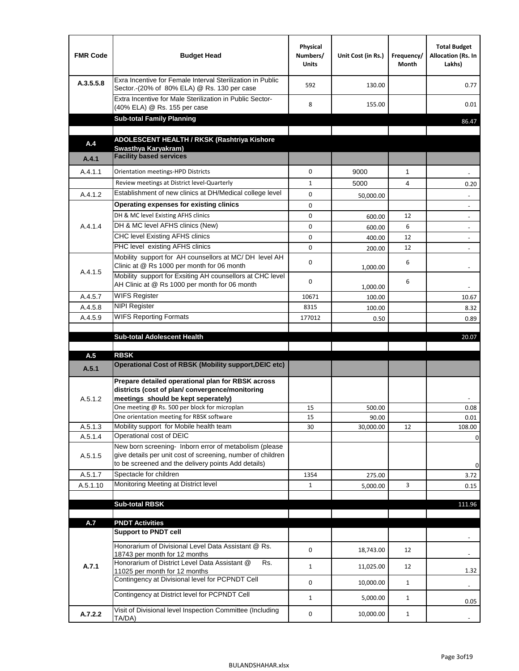| <b>FMR Code</b> | <b>Budget Head</b>                                                                                                                                                           | Physical<br>Numbers/<br><b>Units</b> | Unit Cost (in Rs.) | Frequency/<br>Month | <b>Total Budget</b><br>Allocation (Rs. In<br>Lakhs) |
|-----------------|------------------------------------------------------------------------------------------------------------------------------------------------------------------------------|--------------------------------------|--------------------|---------------------|-----------------------------------------------------|
| A.3.5.5.8       | Exra Incentive for Female Interval Sterilization in Public<br>Sector.-(20% of 80% ELA) @ Rs. 130 per case                                                                    | 592                                  | 130.00             |                     | 0.77                                                |
|                 | Extra Incentive for Male Sterilization in Public Sector-<br>(40% ELA) @ Rs. 155 per case                                                                                     | 8                                    | 155.00             |                     | 0.01                                                |
|                 | <b>Sub-total Family Planning</b>                                                                                                                                             |                                      |                    |                     | 86.47                                               |
|                 | ADOLESCENT HEALTH / RKSK (Rashtriya Kishore                                                                                                                                  |                                      |                    |                     |                                                     |
| A.4             | Swasthya Karyakram)                                                                                                                                                          |                                      |                    |                     |                                                     |
| A.4.1           | <b>Facility based services</b>                                                                                                                                               |                                      |                    |                     |                                                     |
| A.4.1.1         | Orientation meetings-HPD Districts                                                                                                                                           | $\Omega$                             | 9000               | $\mathbf{1}$        |                                                     |
|                 | Review meetings at District level-Quarterly                                                                                                                                  | $\mathbf{1}$                         | 5000               | 4                   | 0.20                                                |
| A.4.1.2         | Establishment of new clinics at DH/Medical college level                                                                                                                     | $\Omega$                             | 50,000.00          |                     |                                                     |
|                 | Operating expenses for existing clinics                                                                                                                                      | 0                                    |                    |                     |                                                     |
|                 | DH & MC level Existing AFHS clinics                                                                                                                                          | 0                                    | 600.00             | 12                  |                                                     |
| A.4.1.4         | DH & MC level AFHS clinics (New)                                                                                                                                             | 0                                    | 600.00             | 6                   | $\overline{\phantom{a}}$                            |
|                 | CHC level Existing AFHS clinics                                                                                                                                              | 0                                    | 400.00             | 12                  | $\overline{\phantom{a}}$                            |
|                 | PHC level existing AFHS clinics                                                                                                                                              | $\Omega$                             | 200.00             | 12                  | $\blacksquare$                                      |
| A.4.1.5         | Mobility support for AH counsellors at MC/DH level AH<br>Clinic at @ Rs 1000 per month for 06 month                                                                          | 0                                    | 1,000.00           | 6                   |                                                     |
|                 | Mobility support for Exsiting AH counsellors at CHC level<br>AH Clinic at @ Rs 1000 per month for 06 month                                                                   | 0                                    | 1,000.00           | 6                   |                                                     |
| A.4.5.7         | <b>WIFS Register</b>                                                                                                                                                         | 10671                                | 100.00             |                     | 10.67                                               |
| A.4.5.8         | <b>NIPI Register</b>                                                                                                                                                         | 8315                                 | 100.00             |                     | 8.32                                                |
| A.4.5.9         | <b>WIFS Reporting Formats</b>                                                                                                                                                | 177012                               | 0.50               |                     | 0.89                                                |
|                 |                                                                                                                                                                              |                                      |                    |                     |                                                     |
|                 | <b>Sub-total Adolescent Health</b>                                                                                                                                           |                                      |                    |                     | 20.07                                               |
| A.5             | <b>RBSK</b>                                                                                                                                                                  |                                      |                    |                     |                                                     |
| A.5.1           | <b>Operational Cost of RBSK (Mobility support, DEIC etc)</b>                                                                                                                 |                                      |                    |                     |                                                     |
| A.5.1.2         | Prepare detailed operational plan for RBSK across<br>districts (cost of plan/convergence/monitoring<br>meetings should be kept seperately)                                   |                                      |                    |                     |                                                     |
|                 | One meeting @ Rs. 500 per block for microplan                                                                                                                                | 15                                   | 500.00             |                     | 0.08                                                |
|                 | One orientation meeting for RBSK software                                                                                                                                    | 15                                   | 90.00              |                     | 0.01                                                |
| A.5.1.3         | Mobility support for Mobile health team                                                                                                                                      | 30                                   | 30,000.00          | 12                  | 108.00                                              |
| A.5.1.4         | Operational cost of DEIC                                                                                                                                                     |                                      |                    |                     | 0                                                   |
| A.5.1.5         | New born screening- Inborn error of metabolism (please<br>give details per unit cost of screening, number of children<br>to be screened and the delivery points Add details) |                                      |                    |                     | 0                                                   |
| A.5.1.7         | Spectacle for children                                                                                                                                                       | 1354                                 | 275.00             |                     | 3.72                                                |
| A.5.1.10        | Monitoring Meeting at District level                                                                                                                                         | $\mathbf{1}$                         | 5,000.00           | 3                   | 0.15                                                |
|                 |                                                                                                                                                                              |                                      |                    |                     |                                                     |
|                 | <b>Sub-total RBSK</b>                                                                                                                                                        |                                      |                    |                     | 111.96                                              |
|                 |                                                                                                                                                                              |                                      |                    |                     |                                                     |
| A.7             | <b>PNDT Activities</b><br><b>Support to PNDT cell</b>                                                                                                                        |                                      |                    |                     |                                                     |
|                 | Honorarium of Divisional Level Data Assistant @ Rs.                                                                                                                          | 0                                    | 18,743.00          | 12                  |                                                     |
| A.7.1           | 18743 per month for 12 months<br>Honorarium of District Level Data Assistant @<br>Rs.<br>11025 per month for 12 months                                                       | $\mathbf{1}$                         | 11,025.00          | 12                  | 1.32                                                |
|                 | Contingency at Divisional level for PCPNDT Cell                                                                                                                              | 0                                    | 10,000.00          | $\mathbf{1}$        | $\overline{\phantom{a}}$                            |
|                 | Contingency at District level for PCPNDT Cell                                                                                                                                | $\mathbf{1}$                         | 5,000.00           | $\mathbf{1}$        | 0.05                                                |
| A.7.2.2         | Visit of Divisional level Inspection Committee (Including<br>TA/DA)                                                                                                          | 0                                    | 10,000.00          | $\mathbf{1}$        |                                                     |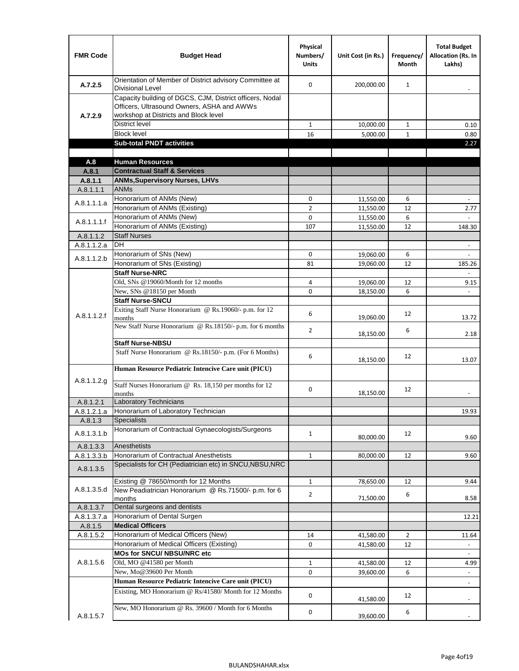| <b>FMR Code</b>      | <b>Budget Head</b>                                                                                                                              | Physical<br>Numbers/<br><b>Units</b> | Unit Cost (in Rs.)     | Frequency/<br><b>Month</b> | <b>Total Budget</b><br><b>Allocation (Rs. In</b><br>Lakhs) |
|----------------------|-------------------------------------------------------------------------------------------------------------------------------------------------|--------------------------------------|------------------------|----------------------------|------------------------------------------------------------|
| A.7.2.5              | Orientation of Member of District advisory Committee at<br><b>Divisional Level</b>                                                              | $\Omega$                             | 200,000.00             | $\mathbf{1}$               | $\overline{\phantom{m}}$                                   |
| A.7.2.9              | Capacity building of DGCS, CJM, District officers, Nodal<br>Officers, Ultrasound Owners, ASHA and AWWs<br>workshop at Districts and Block level |                                      |                        |                            |                                                            |
|                      | <b>District level</b>                                                                                                                           | $\mathbf{1}$                         | 10,000.00              | 1                          | 0.10                                                       |
|                      | <b>Block level</b>                                                                                                                              | 16                                   | 5,000.00               | $\mathbf{1}$               | 0.80                                                       |
|                      | <b>Sub-total PNDT activities</b>                                                                                                                |                                      |                        |                            | 2.27                                                       |
|                      |                                                                                                                                                 |                                      |                        |                            |                                                            |
| A.8                  | <b>Human Resources</b>                                                                                                                          |                                      |                        |                            |                                                            |
| A.8.1                | <b>Contractual Staff &amp; Services</b>                                                                                                         |                                      |                        |                            |                                                            |
| A.8.1.1<br>A.8.1.1.1 | <b>ANMs, Supervisory Nurses, LHVs</b><br><b>ANMs</b>                                                                                            |                                      |                        |                            |                                                            |
|                      | Honorarium of ANMs (New)                                                                                                                        | 0                                    |                        | 6                          |                                                            |
| A.8.1.1.1.a          | Honorarium of ANMs (Existing)                                                                                                                   | $\overline{2}$                       | 11,550.00<br>11,550.00 | 12                         | 2.77                                                       |
|                      | Honorarium of ANMs (New)                                                                                                                        | $\mathbf 0$                          | 11,550.00              | 6                          |                                                            |
| A.8.1.1.1.f          | Honorarium of ANMs (Existing)                                                                                                                   | 107                                  | 11,550.00              | 12                         | 148.30                                                     |
| A.8.1.1.2            | <b>Staff Nurses</b>                                                                                                                             |                                      |                        |                            |                                                            |
| A.8.1.1.2.a          | <b>DH</b>                                                                                                                                       |                                      |                        |                            | $\blacksquare$                                             |
|                      | Honorarium of SNs (New)                                                                                                                         | 0                                    | 19,060.00              | 6                          |                                                            |
| A.8.1.1.2.b          | Honorarium of SNs (Existing)                                                                                                                    | 81                                   | 19.060.00              | 12                         | 185.26                                                     |
|                      | <b>Staff Nurse-NRC</b>                                                                                                                          |                                      |                        |                            | $\overline{\phantom{a}}$                                   |
|                      | Old, SNs @19060/Month for 12 months                                                                                                             | 4                                    | 19,060.00              | 12                         | 9.15                                                       |
|                      | New, SNs @18150 per Month                                                                                                                       | 0                                    | 18,150.00              | 6                          |                                                            |
|                      | <b>Staff Nurse-SNCU</b>                                                                                                                         |                                      |                        |                            |                                                            |
| A.8.1.1.2.f          | Exiting Staff Nurse Honorarium @ Rs.19060/- p.m. for 12<br>months                                                                               | 6                                    | 19,060.00              | 12                         | 13.72                                                      |
|                      | New Staff Nurse Honorarium @ Rs.18150/- p.m. for 6 months                                                                                       | $\overline{2}$                       | 18,150.00              | 6                          | 2.18                                                       |
|                      | <b>Staff Nurse-NBSU</b>                                                                                                                         |                                      |                        |                            |                                                            |
|                      | Staff Nurse Honorarium @ Rs.18150/- p.m. (For 6 Months)                                                                                         | 6                                    | 18,150.00              | 12                         | 13.07                                                      |
|                      | Human Resource Pediatric Intencive Care unit (PICU)                                                                                             |                                      |                        |                            |                                                            |
| A.8.1.1.2.g          | Staff Nurses Honorarium @ Rs. 18,150 per months for 12<br>months                                                                                | 0                                    | 18,150.00              | 12                         |                                                            |
| A.8.1.2.1            | <b>Laboratory Technicians</b>                                                                                                                   |                                      |                        |                            |                                                            |
| A.8.1.2.1.a          | Honorarium of Laboratory Technician                                                                                                             |                                      |                        |                            | 19.93                                                      |
| A.8.1.3              | <b>Specialists</b>                                                                                                                              |                                      |                        |                            |                                                            |
| A.8.1.3.1.b          | Honorarium of Contractual Gynaecologists/Surgeons                                                                                               | $\mathbf{1}$                         | 80,000.00              | 12                         | 9.60                                                       |
| A.8.1.3.3            | Anesthetists                                                                                                                                    |                                      |                        |                            |                                                            |
| A.8.1.3.3.b          | Honorarium of Contractual Anesthetists<br>Specialists for CH (Pediatrician etc) in SNCU, NBSU, NRC                                              | $\mathbf{1}$                         | 80,000.00              | 12                         | 9.60                                                       |
| A.8.1.3.5            |                                                                                                                                                 |                                      |                        |                            |                                                            |
|                      | Existing @ 78650/month for 12 Months                                                                                                            | $\mathbf{1}$                         | 78,650.00              | 12                         | 9.44                                                       |
| A.8.1.3.5.d          | New Peadiatrician Honorarium @ Rs.71500/- p.m. for 6<br>months                                                                                  | $\overline{2}$                       | 71,500.00              | 6                          | 8.58                                                       |
| A.8.1.3.7            | Dental surgeons and dentists                                                                                                                    |                                      |                        |                            |                                                            |
| A.8.1.3.7.a          | Honorarium of Dental Surgen                                                                                                                     |                                      |                        |                            | 12.21                                                      |
| A.8.1.5              | <b>Medical Officers</b>                                                                                                                         |                                      |                        |                            |                                                            |
| A.8.1.5.2            | Honorarium of Medical Officers (New)                                                                                                            | 14                                   | 41,580.00              | $\overline{2}$             | 11.64                                                      |
|                      | Honorarium of Medical Officers (Existing)                                                                                                       | 0                                    | 41,580.00              | 12                         |                                                            |
|                      | MOs for SNCU/ NBSU/NRC etc                                                                                                                      |                                      |                        |                            |                                                            |
| A.8.1.5.6            | Old, MO @41580 per Month                                                                                                                        | $\mathbf{1}$                         | 41,580.00              | 12                         | 4.99                                                       |
|                      | New, Mo@39600 Per Month                                                                                                                         | 0                                    | 39,600.00              | 6                          | $\overline{\phantom{a}}$                                   |
|                      | Human Resource Pediatric Intencive Care unit (PICU)                                                                                             |                                      |                        |                            | $\frac{1}{2}$                                              |
|                      | Existing, MO Honorarium @ Rs/41580/ Month for 12 Months                                                                                         | $\mathbf 0$                          | 41,580.00              | 12                         |                                                            |
| A.8.1.5.7            | New, MO Honorarium @ Rs. 39600 / Month for 6 Months                                                                                             | 0                                    | 39,600.00              | 6                          |                                                            |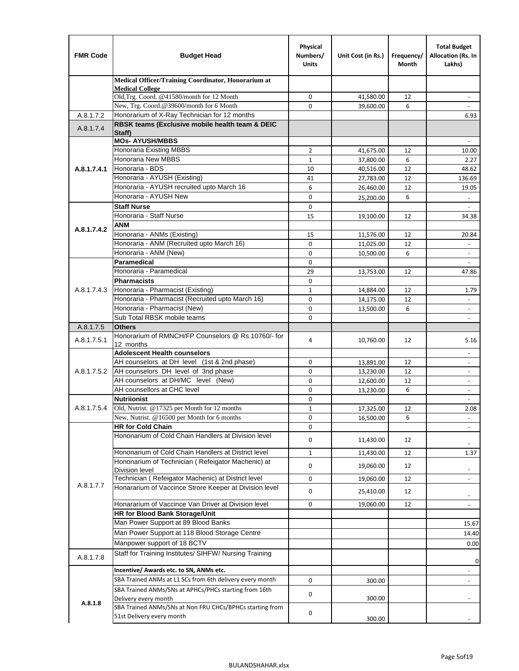| <b>FMR Code</b> | <b>Budget Head</b>                                                   | Physical<br>Numbers/<br><b>Units</b> | Unit Cost (in Rs.)     | Frequency/<br>Month | <b>Total Budget</b><br>Allocation (Rs. In<br>Lakhs)  |
|-----------------|----------------------------------------------------------------------|--------------------------------------|------------------------|---------------------|------------------------------------------------------|
|                 | Medical Officer/Training Coordinator, Honorarium at                  |                                      |                        |                     |                                                      |
|                 | <b>Medical College</b><br>Old, Trg. Coord. @41580/month for 12 Month | $\mathbf 0$                          | 41,580.00              | 12                  | $\overline{\phantom{a}}$                             |
|                 | New, Trg. Coord.@39600/month for 6 Month                             | $\Omega$                             | 39,600.00              | 6                   |                                                      |
| A.8.1.7.2       | Honorarium of X-Ray Technician for 12 months                         |                                      |                        |                     | 6.93                                                 |
| A.8.1.7.4       | RBSK teams (Exclusive mobile health team & DEIC<br>Staff)            |                                      |                        |                     |                                                      |
|                 | <b>MOs- AYUSH/MBBS</b>                                               |                                      |                        |                     |                                                      |
|                 | <b>Honoraria Existing MBBS</b>                                       | $\overline{2}$                       | 41,675.00              | 12                  | 10.00                                                |
|                 | Honoraria New MBBS                                                   | $\mathbf{1}$                         | 37,800.00              | 6                   | 2.27                                                 |
| A.8.1.7.4.1     | Honoraria - BDS                                                      | 10                                   | 40,516.00              | 12                  | 48.62                                                |
|                 | Honoraria - AYUSH (Existing)                                         | 41                                   | 27,783.00              | 12                  | 136.69                                               |
|                 | Honoraria - AYUSH recruited upto March 16                            | 6                                    | 26,460.00              | 12                  | 19.05                                                |
|                 | Honoraria - AYUSH New                                                | $\mathbf 0$                          | 25,200.00              | 6                   | $\overline{\phantom{a}}$                             |
|                 | <b>Staff Nurse</b>                                                   | $\Omega$                             |                        |                     |                                                      |
|                 | Honoraria - Staff Nurse                                              | 15                                   | 19,100.00              | 12                  | 34.38                                                |
| A.8.1.7.4.2     | <b>ANM</b><br>Honoraria - ANMs (Existing)                            |                                      |                        |                     |                                                      |
|                 | Honoraria - ANM (Recruited upto March 16)                            | 15<br>$\mathbf 0$                    | 11,576.00<br>11,025.00 | 12<br>12            | 20.84<br>÷,                                          |
|                 | Honoraria - ANM (New)                                                | 0                                    | 10,500.00              | 6                   |                                                      |
|                 | Paramedical                                                          | $\mathbf 0$                          |                        |                     | $\blacksquare$                                       |
|                 | Honoraria - Paramedical                                              | 29                                   | 13,753.00              | 12                  | 47.86                                                |
|                 | <b>Pharmacists</b>                                                   | $\mathbf 0$                          |                        |                     |                                                      |
| A.8.1.7.4.3     | Honoraria - Pharmacist (Existing)                                    | $\mathbf{1}$                         | 14,884.00              | 12                  | 1.79                                                 |
|                 | Honoraria - Pharmacist (Recruited upto March 16)                     | 0                                    | 14,175.00              | 12                  | $\blacksquare$                                       |
|                 | Honoraria - Pharmacist (New)                                         | $\mathbf 0$                          | 13,500.00              | 6                   | ÷,                                                   |
|                 | Sub Total RBSK mobile teams                                          | $\Omega$                             |                        |                     | $\overline{\phantom{a}}$                             |
| A.8.1.7.5       | <b>Others</b>                                                        |                                      |                        |                     |                                                      |
| A.8.1.7.5.1     | Honorarium of RMNCH/FP Counselors @ Rs.10760/- for                   | 4                                    | 10,760.00              | 12                  | 5.16                                                 |
|                 | 12 months<br><b>Adolescent Health counselors</b>                     |                                      |                        |                     |                                                      |
|                 | AH counselors at DH level (1st & 2nd phase)                          | 0                                    |                        | 12                  | $\overline{\phantom{a}}$<br>$\overline{\phantom{a}}$ |
| A.8.1.7.5.2     | AH counselors DH level of 3nd phase                                  | $\mathbf 0$                          | 13,891.00<br>13,230.00 | 12                  | $\overline{\phantom{a}}$                             |
|                 | AH counselors at DH/MC level (New)                                   | 0                                    | 12,600.00              | 12                  | $\blacksquare$                                       |
|                 | AH counsellors at CHC level                                          | $\mathbf 0$                          | 13,230.00              | 6                   | $\overline{\phantom{a}}$                             |
|                 | <b>Nutriionist</b>                                                   | 0                                    |                        |                     | $\overline{\phantom{a}}$                             |
| A.8.1.7.5.4     | Old, Nutrist. @17325 per Month for 12 months                         | $\mathbf{1}$                         | 17,325.00              | 12                  | 2.08                                                 |
|                 | New, Nutrist. $@16500$ per Month for 6 months                        | 0                                    | 16,500.00              | 6                   |                                                      |
|                 | <b>HR for Cold Chain</b>                                             | 0                                    |                        |                     |                                                      |
|                 | Hononarium of Cold Chain Handlers at Division level                  | 0                                    | 11,430.00              | 12                  |                                                      |
|                 | Hononarium of Cold Chain Handlers at District level                  | 1                                    | 11,430.00              | 12                  | 1.37                                                 |
|                 | Hononarium of Technician (Refeigator Machenic) at                    | 0                                    | 19,060.00              | 12                  |                                                      |
|                 | <b>Division level</b>                                                |                                      |                        |                     | $\overline{\phantom{a}}$                             |
| A.8.1.7.7       | Technician (Refeigator Machenic) at District level                   | 0                                    | 19,060.00              | 12                  | $\blacksquare$                                       |
|                 | Honararium of Vaccince Strore Keeper at Division level               | 0                                    | 25,410.00              | 12                  | $\overline{\phantom{a}}$                             |
|                 | Honararium of Vaccince Van Driver at Division level                  | 0                                    | 19,060.00              | 12                  | $\overline{\phantom{a}}$                             |
|                 | <b>HR for Blood Bank Storage/Unit</b>                                |                                      |                        |                     |                                                      |
|                 | Man Power Support at 89 Blood Banks                                  |                                      |                        |                     | 15.67                                                |
|                 | Man Power Support at 118 Blood Storage Centre                        |                                      |                        |                     | 14.40                                                |
|                 | Manpower support of 18 BCTV                                          |                                      |                        |                     | 0.00                                                 |
| A.8.1.7.8       | Staff for Training Institutes/ SIHFW/ Nursing Training               |                                      |                        |                     | 0                                                    |
|                 | Incentive/ Awards etc. to SN, ANMs etc.                              |                                      |                        |                     | $\overline{\phantom{a}}$                             |
|                 | SBA Trained ANMs at L1 SCs from 6th delivery every month             | $\mathbf 0$                          | 300.00                 |                     | $\blacksquare$                                       |
|                 | SBA Trained ANMs/SNs at APHCs/PHCs starting from 16th                | 0                                    |                        |                     |                                                      |
| A.8.1.8         | Delivery every month                                                 |                                      | 300.00                 |                     |                                                      |
|                 | SBA Trained ANMs/SNs at Non FRU CHCs/BPHCs starting from             | 0                                    |                        |                     |                                                      |
|                 | 51st Delivery every month                                            |                                      | 300.00                 |                     |                                                      |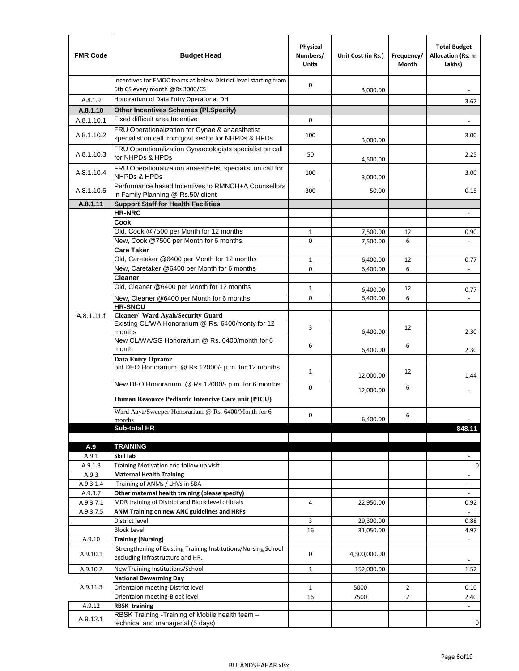| <b>FMR Code</b> | <b>Budget Head</b>                                                                                               | Physical<br>Numbers/<br><b>Units</b> | Unit Cost (in Rs.) | Frequency/<br>Month | <b>Total Budget</b><br>Allocation (Rs. In<br>Lakhs) |
|-----------------|------------------------------------------------------------------------------------------------------------------|--------------------------------------|--------------------|---------------------|-----------------------------------------------------|
|                 | Incentives for EMOC teams at below District level starting from<br>6th CS every month @Rs 3000/CS                | $\mathbf 0$                          | 3,000.00           |                     |                                                     |
| A.8.1.9         | Honorarium of Data Entry Operator at DH                                                                          |                                      |                    |                     | 3.67                                                |
| A.8.1.10        | <b>Other Incentives Schemes (Pl.Specify)</b>                                                                     |                                      |                    |                     |                                                     |
| A.8.1.10.1      | Fixed difficult area Incentive                                                                                   | $\mathbf 0$                          |                    |                     |                                                     |
|                 | FRU Operationalization for Gynae & anaesthetist                                                                  |                                      |                    |                     |                                                     |
| A.8.1.10.2      | specialist on call from govt sector for NHPDs & HPDs<br>FRU Operationalization Gynaecologists specialist on call | 100                                  | 3,000.00           |                     | 3.00                                                |
| A.8.1.10.3      | for NHPDs & HPDs                                                                                                 | 50                                   | 4,500.00           |                     | 2.25                                                |
| A.8.1.10.4      | FRU Operationalization anaesthetist specialist on call for<br><b>NHPDs &amp; HPDs</b>                            | 100                                  | 3,000.00           |                     | 3.00                                                |
| A.8.1.10.5      | Performance based Incentives to RMNCH+A Counsellors<br>in Family Planning @ Rs.50/ client                        | 300                                  | 50.00              |                     | 0.15                                                |
| A.8.1.11        | <b>Support Staff for Health Facilities</b>                                                                       |                                      |                    |                     |                                                     |
|                 | <b>HR-NRC</b>                                                                                                    |                                      |                    |                     | $\overline{\phantom{m}}$                            |
|                 | Cook                                                                                                             |                                      |                    |                     |                                                     |
|                 | Old, Cook @7500 per Month for 12 months                                                                          | $\mathbf{1}$                         | 7,500.00           | 12                  | 0.90                                                |
|                 | New, Cook @7500 per Month for 6 months                                                                           | 0                                    | 7,500.00           | 6                   | $\Box$                                              |
|                 | <b>Care Taker</b>                                                                                                |                                      |                    |                     |                                                     |
|                 | Old, Caretaker @6400 per Month for 12 months                                                                     | $\mathbf{1}$                         | 6,400.00           | 12                  | 0.77                                                |
|                 | New, Caretaker @6400 per Month for 6 months<br><b>Cleaner</b>                                                    | 0                                    | 6,400.00           | 6                   | ÷,                                                  |
|                 | Old, Cleaner @6400 per Month for 12 months                                                                       |                                      |                    |                     |                                                     |
|                 |                                                                                                                  | $\mathbf{1}$                         | 6,400.00           | 12                  | 0.77                                                |
|                 | New, Cleaner @6400 per Month for 6 months<br><b>HR-SNCU</b>                                                      | $\mathbf 0$                          | 6,400.00           | 6                   |                                                     |
| A.8.1.11.f      | Cleaner/ Ward Ayah/Security Guard                                                                                |                                      |                    |                     |                                                     |
|                 | Existing CL/WA Honorarium @ Rs. 6400/monty for 12<br>months                                                      | 3                                    | 6,400.00           | 12                  | 2.30                                                |
|                 | New CL/WA/SG Honorarium @ Rs. 6400/month for 6<br>month                                                          | 6                                    | 6,400.00           | 6                   | 2.30                                                |
|                 | <b>Data Entry Oprator</b>                                                                                        |                                      |                    |                     |                                                     |
|                 | old DEO Honorarium @ Rs.12000/- p.m. for 12 months                                                               | $\mathbf{1}$                         | 12,000.00          | 12                  | 1.44                                                |
|                 | New DEO Honorarium @ Rs.12000/- p.m. for 6 months                                                                | 0                                    | 12,000.00          | 6                   |                                                     |
|                 | Human Resource Pediatric Intencive Care unit (PICU)                                                              |                                      |                    |                     |                                                     |
|                 | Ward Aaya/Sweeper Honorarium @ Rs. 6400/Month for 6                                                              | $\mathbf 0$                          |                    | 6                   |                                                     |
|                 | months                                                                                                           |                                      | 6,400.00           |                     |                                                     |
|                 | Sub-total HR                                                                                                     |                                      |                    |                     | 848.11                                              |
| A.9             | <b>TRAINING</b>                                                                                                  |                                      |                    |                     |                                                     |
| A.9.1           | Skill lab                                                                                                        |                                      |                    |                     |                                                     |
| A.9.1.3         | Training Motivation and follow up visit                                                                          |                                      |                    |                     | 0                                                   |
| A.9.3           | <b>Maternal Health Training</b>                                                                                  |                                      |                    |                     | $\blacksquare$                                      |
| A.9.3.1.4       | Training of ANMs / LHVs in SBA                                                                                   |                                      |                    |                     | $\overline{\phantom{a}}$                            |
| A.9.3.7         | Other maternal health training (please specify)                                                                  |                                      |                    |                     |                                                     |
| A.9.3.7.1       | MDR training of District and Block level officials                                                               | 4                                    | 22,950.00          |                     | 0.92                                                |
| A.9.3.7.5       | ANM Training on new ANC guidelines and HRPs                                                                      |                                      |                    |                     |                                                     |
|                 | District level                                                                                                   | 3                                    | 29,300.00          |                     | 0.88                                                |
|                 | <b>Block Level</b>                                                                                               | 16                                   | 31,050.00          |                     | 4.97                                                |
| A.9.10          | <b>Training (Nursing)</b>                                                                                        |                                      |                    |                     | $\blacksquare$                                      |
| A.9.10.1        | Strengthening of Existing Training Institutions/Nursing School<br>excluding infrastructure and HR.               | 0                                    | 4,300,000.00       |                     |                                                     |
| A.9.10.2        | New Training Institutions/School                                                                                 | $\mathbf{1}$                         | 152,000.00         |                     | 1.52                                                |
|                 | <b>National Dewarming Day</b>                                                                                    |                                      |                    |                     |                                                     |
| A.9.11.3        | Orientaion meeting-District level                                                                                | 1                                    | 5000               | $\overline{2}$      | 0.10                                                |
|                 | Orientaion meeting-Block level                                                                                   | 16                                   | 7500               | $\overline{2}$      | 2.40                                                |
| A.9.12          | <b>RBSK training</b>                                                                                             |                                      |                    |                     |                                                     |
| A.9.12.1        | RBSK Training -Training of Mobile health team -<br>technical and managerial (5 days)                             |                                      |                    |                     | 0                                                   |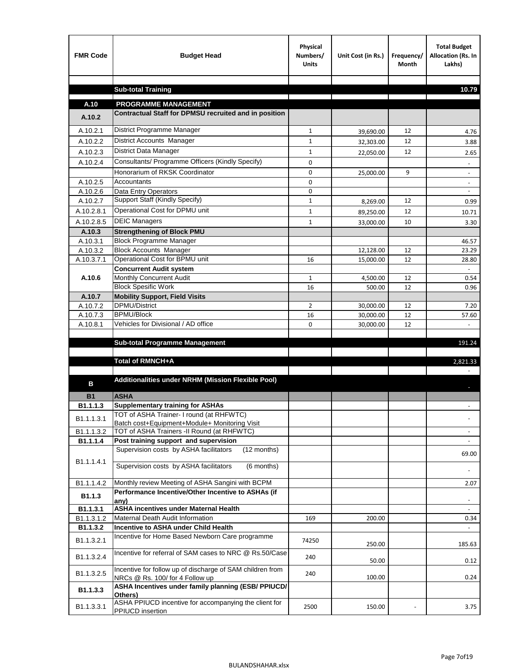| <b>FMR Code</b>      | <b>Budget Head</b>                                                                           | Physical<br>Numbers/<br><b>Units</b> | Unit Cost (in Rs.)     | Frequency/<br><b>Month</b> | <b>Total Budget</b><br>Allocation (Rs. In<br>Lakhs) |
|----------------------|----------------------------------------------------------------------------------------------|--------------------------------------|------------------------|----------------------------|-----------------------------------------------------|
|                      |                                                                                              |                                      |                        |                            |                                                     |
|                      | <b>Sub-total Training</b>                                                                    |                                      |                        |                            | 10.79                                               |
| A.10                 | <b>PROGRAMME MANAGEMENT</b>                                                                  |                                      |                        |                            |                                                     |
| A.10.2               | Contractual Staff for DPMSU recruited and in position                                        |                                      |                        |                            |                                                     |
| A.10.2.1             | District Programme Manager                                                                   | $\mathbf{1}$                         |                        | 12                         |                                                     |
| A.10.2.2             | District Accounts Manager                                                                    | 1                                    | 39,690.00              | 12                         | 4.76                                                |
| A.10.2.3             | District Data Manager                                                                        | $\mathbf{1}$                         | 32,303.00              | 12                         | 3.88                                                |
| A.10.2.4             | Consultants/ Programme Officers (Kindly Specify)                                             | $\mathbf 0$                          | 22,050.00              |                            | 2.65                                                |
|                      | Honorarium of RKSK Coordinator                                                               |                                      |                        |                            |                                                     |
| A.10.2.5             | Accountants                                                                                  | 0<br>0                               | 25,000.00              | 9                          | $\overline{\phantom{a}}$                            |
| A.10.2.6             | Data Entry Operators                                                                         | 0                                    |                        |                            | $\overline{\phantom{a}}$                            |
| A.10.2.7             | Support Staff (Kindly Specify)                                                               | $\mathbf 1$                          | 8,269.00               | 12                         | 0.99                                                |
| A.10.2.8.1           | Operational Cost for DPMU unit                                                               | $\mathbf{1}$                         | 89,250.00              | 12                         | 10.71                                               |
| A.10.2.8.5           | <b>DEIC Managers</b>                                                                         | $\mathbf{1}$                         | 33,000.00              | 10                         | 3.30                                                |
| A.10.3               | <b>Strengthening of Block PMU</b>                                                            |                                      |                        |                            |                                                     |
| A.10.3.1             | <b>Block Programme Manager</b>                                                               |                                      |                        |                            | 46.57                                               |
| A.10.3.2             | <b>Block Accounts Manager</b>                                                                |                                      | 12,128.00              | 12                         | 23.29                                               |
| A.10.3.7.1           | Operational Cost for BPMU unit                                                               | 16                                   | 15,000.00              | 12                         | 28.80                                               |
|                      | <b>Concurrent Audit system</b>                                                               |                                      |                        |                            |                                                     |
| A.10.6               | Monthly Concurrent Audit                                                                     | $\mathbf{1}$                         | 4,500.00               | 12                         | 0.54                                                |
|                      | <b>Block Spesific Work</b>                                                                   | 16                                   | 500.00                 | 12                         | 0.96                                                |
| A.10.7               | <b>Mobility Support, Field Visits</b>                                                        |                                      |                        |                            |                                                     |
| A.10.7.2<br>A.10.7.3 | DPMU/District<br><b>BPMU/Block</b>                                                           | 2<br>16                              | 30,000.00              | 12<br>12                   | 7.20                                                |
| A.10.8.1             | Vehicles for Divisional / AD office                                                          | 0                                    | 30,000.00<br>30,000.00 | 12                         | 57.60<br>$\omega$                                   |
|                      |                                                                                              |                                      |                        |                            |                                                     |
|                      | <b>Sub-total Programme Management</b>                                                        |                                      |                        |                            | 191.24                                              |
|                      |                                                                                              |                                      |                        |                            |                                                     |
|                      | Total of RMNCH+A                                                                             |                                      |                        |                            | 2,821.33                                            |
|                      |                                                                                              |                                      |                        |                            |                                                     |
| в                    | Additionalities under NRHM (Mission Flexible Pool)                                           |                                      |                        |                            |                                                     |
| <b>B1</b>            | <b>ASHA</b>                                                                                  |                                      |                        |                            |                                                     |
| B1.1.1.3             | <b>Supplementary training for ASHAs</b>                                                      |                                      |                        |                            |                                                     |
| B1.1.1.3.1           | TOT of ASHA Trainer- I round (at RHFWTC)                                                     |                                      |                        |                            |                                                     |
|                      | Batch cost+Equipment+Module+ Monitoring Visit                                                |                                      |                        |                            |                                                     |
| B1.1.1.3.2           | TOT of ASHA Trainers -II Round (at RHFWTC)                                                   |                                      |                        |                            |                                                     |
| B1.1.1.4             | Post training support and supervision                                                        |                                      |                        |                            | $\omega$                                            |
|                      | Supervision costs by ASHA facilitators<br>(12 months)                                        |                                      |                        |                            | 69.00                                               |
| B1.1.1.4.1           | Supervision costs by ASHA facilitators<br>(6 months)                                         |                                      |                        |                            |                                                     |
|                      |                                                                                              |                                      |                        |                            |                                                     |
| B1.1.1.4.2           | Monthly review Meeting of ASHA Sangini with BCPM                                             |                                      |                        |                            | 2.07                                                |
| B1.1.3               | Performance Incentive/Other Incentive to ASHAs (if                                           |                                      |                        |                            |                                                     |
| B1.1.3.1             | any)<br><b>ASHA incentives under Maternal Health</b>                                         |                                      |                        |                            |                                                     |
| B1.1.3.1.2           | Maternal Death Audit Information                                                             | 169                                  | 200.00                 |                            | 0.34                                                |
| B1.1.3.2             | Incentive to ASHA under Child Health                                                         |                                      |                        |                            | $\omega$                                            |
| B1.1.3.2.1           | Incentive for Home Based Newborn Care programme                                              | 74250                                | 250.00                 |                            | 185.63                                              |
| B1.1.3.2.4           | Incentive for referral of SAM cases to NRC @ Rs.50/Case                                      | 240                                  | 50.00                  |                            | 0.12                                                |
| B1.1.3.2.5           | Incentive for follow up of discharge of SAM children from<br>NRCs @ Rs. 100/ for 4 Follow up | 240                                  | 100.00                 |                            | 0.24                                                |
| B1.1.3.3             | ASHA Incentives under family planning (ESB/ PPIUCD/<br>Others)                               |                                      |                        |                            |                                                     |
| B1.1.3.3.1           | ASHA PPIUCD incentive for accompanying the client for<br>PPIUCD insertion                    | 2500                                 | 150.00                 |                            | 3.75                                                |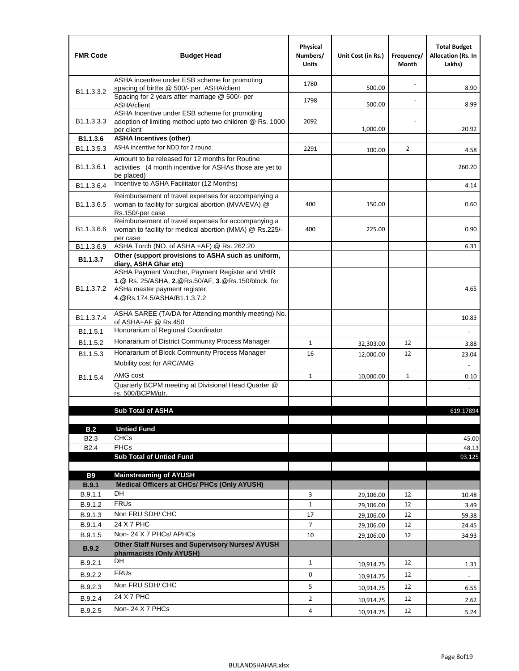| <b>FMR Code</b>            | <b>Budget Head</b>                                                                                                                                                    | Physical<br>Numbers/<br><b>Units</b> | Unit Cost (in Rs.)     | Frequency/<br>Month | <b>Total Budget</b><br><b>Allocation (Rs. In</b><br>Lakhs) |
|----------------------------|-----------------------------------------------------------------------------------------------------------------------------------------------------------------------|--------------------------------------|------------------------|---------------------|------------------------------------------------------------|
|                            | ASHA incentive under ESB scheme for promoting<br>spacing of births @ 500/- per ASHA/client                                                                            | 1780                                 | 500.00                 |                     | 8.90                                                       |
| B <sub>1.1</sub> , 3, 3, 2 | Spacing for 2 years after marriage @ 500/- per<br>ASHA/client                                                                                                         | 1798                                 | 500.00                 |                     | 8.99                                                       |
| B1.1.3.3.3                 | ASHA Incentive under ESB scheme for promoting<br>adoption of limiting method upto two children @ Rs. 1000<br>per client                                               | 2092                                 | 1,000.00               |                     | 20.92                                                      |
| B1.1.3.6                   | <b>ASHA Incentives (other)</b>                                                                                                                                        |                                      |                        |                     |                                                            |
| B <sub>1.1</sub> , 3, 5, 3 | ASHA incentive for NDD for 2 round                                                                                                                                    | 2291                                 | 100.00                 | $\overline{2}$      | 4.58                                                       |
| B <sub>1.1</sub> .3.6.1    | Amount to be released for 12 months for Routine<br>activities (4 month incentive for ASHAs those are yet to<br>be placed)                                             |                                      |                        |                     | 260.20                                                     |
| B1.1.3.6.4                 | Incentive to ASHA Facilitator (12 Months)                                                                                                                             |                                      |                        |                     | 4.14                                                       |
| B <sub>1.1</sub> .3.6.5    | Reimbursement of travel expenses for accompanying a<br>woman to facility for surgical abortion (MVA/EVA) @<br>Rs.150/-per case                                        | 400                                  | 150.00                 |                     | 0.60                                                       |
| B <sub>1.1</sub> .3.6.6    | Reimbursement of travel expenses for accompanying a<br>woman to facility for medical abortion (MMA) @ Rs.225/-<br>per case                                            | 400                                  | 225.00                 |                     | 0.90                                                       |
| B1.1.3.6.9                 | ASHA Torch (NO. of ASHA +AF) @ Rs. 262.20                                                                                                                             |                                      |                        |                     | 6.31                                                       |
| B1.1.3.7                   | Other (support provisions to ASHA such as uniform,<br>diary, ASHA Ghar etc)                                                                                           |                                      |                        |                     |                                                            |
| B <sub>1.1</sub> .3.7.2    | ASHA Payment Voucher, Payment Register and VHIR<br>1.@ Rs. 25/ASHA, 2.@Rs.50/AF, 3.@Rs.150/block for<br>ASHa master payment register,<br>4. @Rs.174.5/ASHA/B1.1.3.7.2 |                                      |                        |                     | 4.65                                                       |
| B <sub>1.1</sub> , 3.7.4   | ASHA SAREE (TA/DA for Attending monthly meeting) No.<br>of ASHA+AF @ Rs.450                                                                                           |                                      |                        |                     | 10.83                                                      |
| B <sub>1.1</sub> .5.1      | Honorarium of Regional Coordinator                                                                                                                                    |                                      |                        |                     |                                                            |
| B <sub>1.1.5.2</sub>       | Honararium of District Community Process Manager                                                                                                                      | $\mathbf{1}$                         | 32,303.00              | 12                  | 3.88                                                       |
| B1.1.5.3                   | Honararium of Block Community Process Manager                                                                                                                         | 16                                   | 12,000.00              | 12                  | 23.04                                                      |
|                            | Mobility cost for ARC/AMG                                                                                                                                             |                                      |                        |                     |                                                            |
| B <sub>1.1.5.4</sub>       | AMG cost                                                                                                                                                              | $\mathbf{1}$                         | 10,000.00              | 1                   | 0.10                                                       |
|                            | Quarterly BCPM meeting at Divisional Head Quarter @<br>rs. 500/BCPM/qtr.                                                                                              |                                      |                        |                     |                                                            |
|                            |                                                                                                                                                                       |                                      |                        |                     |                                                            |
|                            | <b>Sub Total of ASHA</b>                                                                                                                                              |                                      |                        |                     | 619.17894                                                  |
|                            |                                                                                                                                                                       |                                      |                        |                     |                                                            |
| B.2<br>B <sub>2.3</sub>    | <b>Untied Fund</b><br><b>CHCs</b>                                                                                                                                     |                                      |                        |                     | 45.00                                                      |
| B <sub>2.4</sub>           | PHCs                                                                                                                                                                  |                                      |                        |                     | 48.13                                                      |
|                            | <b>Sub Total of Untied Fund</b>                                                                                                                                       |                                      |                        |                     | 93.125                                                     |
|                            |                                                                                                                                                                       |                                      |                        |                     |                                                            |
| <b>B9</b>                  | <b>Mainstreaming of AYUSH</b>                                                                                                                                         |                                      |                        |                     |                                                            |
| B.9.1<br>B.9.1.1           | Medical Officers at CHCs/ PHCs (Only AYUSH)<br><b>DH</b>                                                                                                              | 3                                    |                        | 12                  | 10.48                                                      |
| B.9.1.2                    | <b>FRUs</b>                                                                                                                                                           | $\mathbf{1}$                         | 29,106.00<br>29,106.00 | 12                  | 3.49                                                       |
| B.9.1.3                    | Non FRU SDH/ CHC                                                                                                                                                      | 17                                   | 29,106.00              | 12                  | 59.38                                                      |
| B.9.1.4                    | 24 X 7 PHC                                                                                                                                                            | 7                                    | 29,106.00              | 12                  | 24.45                                                      |
| B.9.1.5                    | Non-24 X 7 PHCs/ APHCs                                                                                                                                                | 10                                   | 29,106.00              | 12                  | 34.93                                                      |
| B.9.2                      | Other Staff Nurses and Supervisory Nurses/ AYUSH<br>pharmacists (Only AYUSH)                                                                                          |                                      |                        |                     |                                                            |
| B.9.2.1                    | DH                                                                                                                                                                    | $\mathbf{1}$                         | 10,914.75              | 12                  | 1.31                                                       |
| B.9.2.2                    | <b>FRUs</b>                                                                                                                                                           | 0                                    | 10,914.75              | 12                  |                                                            |
| B.9.2.3                    | Non FRU SDH/ CHC                                                                                                                                                      | 5                                    | 10,914.75              | 12                  | 6.55                                                       |
| B.9.2.4                    | 24 X 7 PHC                                                                                                                                                            | $\overline{2}$                       | 10,914.75              | 12                  | 2.62                                                       |
| B.9.2.5                    | Non-24 X 7 PHCs                                                                                                                                                       | $\overline{a}$                       |                        | 12                  |                                                            |
|                            |                                                                                                                                                                       |                                      | 10,914.75              |                     | 5.24                                                       |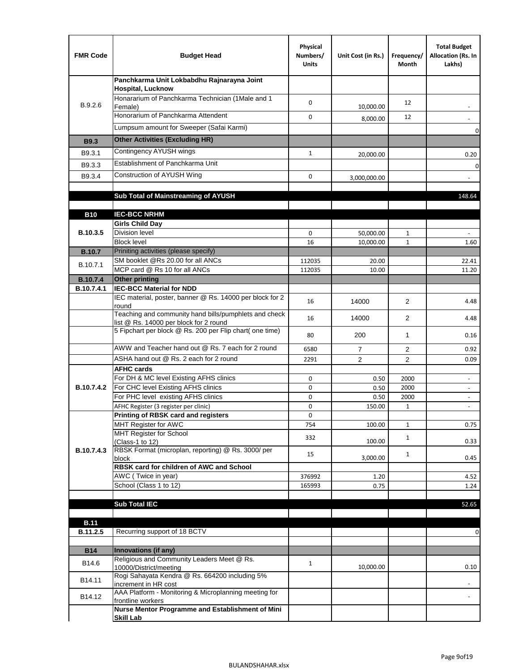| <b>FMR Code</b>   | <b>Budget Head</b>                                                                              | Physical<br>Numbers/<br><b>Units</b> | Unit Cost (in Rs.)     | Frequency/<br>Month | <b>Total Budget</b><br>Allocation (Rs. In<br>Lakhs) |
|-------------------|-------------------------------------------------------------------------------------------------|--------------------------------------|------------------------|---------------------|-----------------------------------------------------|
|                   | Panchkarma Unit Lokbabdhu Rajnarayna Joint<br><b>Hospital, Lucknow</b>                          |                                      |                        |                     |                                                     |
| B.9.2.6           | Honararium of Panchkarma Technician (1Male and 1<br>Female)                                     | 0                                    | 10,000.00              | 12                  |                                                     |
|                   | Honorarium of Panchkarma Attendent                                                              | 0                                    | 8,000.00               | 12                  |                                                     |
|                   | Lumpsum amount for Sweeper (Safai Karmi)                                                        |                                      |                        |                     | 0                                                   |
| <b>B9.3</b>       | <b>Other Activities (Excluding HR)</b>                                                          |                                      |                        |                     |                                                     |
| B9.3.1            | Contingency AYUSH wings                                                                         | $\mathbf{1}$                         | 20,000.00              |                     | 0.20                                                |
| B9.3.3            | Establishment of Panchkarma Unit                                                                |                                      |                        |                     | $\mathbf 0$                                         |
| B9.3.4            | Construction of AYUSH Wing                                                                      | 0                                    | 3,000,000.00           |                     |                                                     |
|                   |                                                                                                 |                                      |                        |                     |                                                     |
|                   | Sub Total of Mainstreaming of AYUSH                                                             |                                      |                        |                     | 148.64                                              |
|                   |                                                                                                 |                                      |                        |                     |                                                     |
| <b>B10</b>        | <b>IEC-BCC NRHM</b>                                                                             |                                      |                        |                     |                                                     |
|                   | <b>Girls Child Day</b>                                                                          |                                      |                        |                     |                                                     |
| B.10.3.5          | <b>Division level</b><br><b>Block level</b>                                                     | 0<br>16                              | 50,000.00<br>10,000.00 | 1<br>$\mathbf{1}$   | 1.60                                                |
| <b>B.10.7</b>     | Priniting activities (please specify)                                                           |                                      |                        |                     |                                                     |
|                   | SM booklet @Rs 20.00 for all ANCs                                                               | 112035                               | 20.00                  |                     | 22.41                                               |
| B.10.7.1          | MCP card @ Rs 10 for all ANCs                                                                   | 112035                               | 10.00                  |                     | 11.20                                               |
| <b>B.10.7.4</b>   | <b>Other printing</b>                                                                           |                                      |                        |                     |                                                     |
| B.10.7.4.1        | <b>IEC-BCC Material for NDD</b>                                                                 |                                      |                        |                     |                                                     |
|                   | IEC material, poster, banner @ Rs. 14000 per block for 2<br>round                               | 16                                   | 14000                  | $\overline{2}$      | 4.48                                                |
|                   | Teaching and community hand bills/pumphlets and check<br>list @ Rs. 14000 per block for 2 round | 16                                   | 14000                  | $\overline{2}$      | 4.48                                                |
|                   | 5 Fipchart per block @ Rs. 200 per Flip chart( one time)                                        | 80                                   | 200                    | $\mathbf{1}$        | 0.16                                                |
|                   | AWW and Teacher hand out @ Rs. 7 each for 2 round                                               | 6580                                 | $\overline{7}$         | 2                   | 0.92                                                |
|                   | ASHA hand out @ Rs. 2 each for 2 round                                                          | 2291                                 | $\overline{2}$         | 2                   | 0.09                                                |
|                   | <b>AFHC cards</b>                                                                               |                                      |                        |                     |                                                     |
|                   | For DH & MC level Existing AFHS clinics                                                         | 0                                    | 0.50                   | 2000                | $\overline{\phantom{a}}$                            |
| <b>B.10.7.4.2</b> | For CHC level Existing AFHS clinics                                                             | 0                                    | 0.50                   | 2000                | $\overline{\phantom{a}}$                            |
|                   | For PHC level existing AFHS clinics                                                             | 0                                    | 0.50                   | 2000                | $\bar{a}$                                           |
|                   | AFHC Register (3 register per clinic)<br>Printing of RBSK card and registers                    | 0<br>0                               | 150.00                 | $\mathbf{1}$        | $\blacksquare$                                      |
|                   | MHT Register for AWC                                                                            | 754                                  | 100.00                 | $\mathbf{1}$        | 0.75                                                |
|                   | MHT Register for School                                                                         |                                      |                        |                     |                                                     |
|                   | (Class-1 to 12)                                                                                 | 332                                  | 100.00                 | $\mathbf{1}$        | 0.33                                                |
| B.10.7.4.3        | RBSK Format (microplan, reporting) @ Rs. 3000/ per                                              | 15                                   |                        | $\mathbf{1}$        |                                                     |
|                   | block<br>RBSK card for children of AWC and School                                               |                                      | 3,000.00               |                     | 0.45                                                |
|                   | AWC (Twice in year)                                                                             | 376992                               | 1.20                   |                     | 4.52                                                |
|                   | School (Class 1 to 12)                                                                          | 165993                               | 0.75                   |                     | 1.24                                                |
|                   |                                                                                                 |                                      |                        |                     |                                                     |
|                   | <b>Sub Total IEC</b>                                                                            |                                      |                        |                     | 52.65                                               |
|                   |                                                                                                 |                                      |                        |                     |                                                     |
| <b>B.11</b>       |                                                                                                 |                                      |                        |                     |                                                     |
| B.11.2.5          | Recurring support of 18 BCTV                                                                    |                                      |                        |                     | 0                                                   |
| <b>B14</b>        | Innovations (if any)                                                                            |                                      |                        |                     |                                                     |
| B14.6             | Religious and Community Leaders Meet @ Rs.<br>10000/District/meeting                            | $\mathbf{1}$                         | 10,000.00              |                     | 0.10                                                |
|                   | Rogi Sahayata Kendra @ Rs. 664200 including 5%                                                  |                                      |                        |                     |                                                     |
| B14.11            | increment in HR cost                                                                            |                                      |                        |                     |                                                     |
| B14.12            | AAA Platform - Monitoring & Microplanning meeting for<br>frontline workers                      |                                      |                        |                     |                                                     |
|                   | Nurse Mentor Programme and Establishment of Mini<br><b>Skill Lab</b>                            |                                      |                        |                     |                                                     |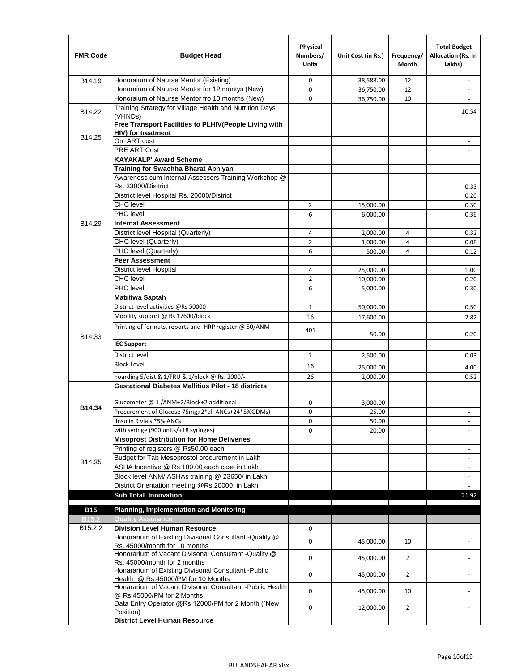| <b>FMR Code</b> | <b>Budget Head</b>                                                                              | Physical<br>Numbers/<br><b>Units</b> | Unit Cost (in Rs.) | Frequency/<br><b>Month</b> | <b>Total Budget</b><br>Allocation (Rs. In<br>Lakhs) |
|-----------------|-------------------------------------------------------------------------------------------------|--------------------------------------|--------------------|----------------------------|-----------------------------------------------------|
| B14.19          | Honoraium of Naurse Mentor (Existing)                                                           | 0                                    | 38,588.00          | 12                         | $\sim$                                              |
|                 | Honoraium of Naurse Mentor for 12 montys (New)                                                  | 0                                    | 36,750.00          | 12                         |                                                     |
|                 | Honoraium of Naurse Mentor fro 10 months (New)                                                  | 0                                    | 36,750.00          | 10                         | $\overline{\phantom{a}}$                            |
| B14.22          | Training Strategy for Village Health and Nutrition Days<br>(VHNDs)                              |                                      |                    |                            | 10.54                                               |
|                 | Free Transport Facilities to PLHIV(People Living with                                           |                                      |                    |                            |                                                     |
| B14.25          | <b>HIV)</b> for treatment                                                                       |                                      |                    |                            |                                                     |
|                 | On ART cost                                                                                     |                                      |                    |                            |                                                     |
|                 | PRE ART Cost                                                                                    |                                      |                    |                            |                                                     |
|                 | <b>KAYAKALP' Award Scheme</b>                                                                   |                                      |                    |                            |                                                     |
|                 | Training for Swachha Bharat Abhiyan                                                             |                                      |                    |                            |                                                     |
|                 | Awareness cum Internal Assessors Training Workshop @                                            |                                      |                    |                            |                                                     |
|                 | Rs. 33000/Disitrict                                                                             |                                      |                    |                            | 0.33                                                |
|                 | District level Hospital Rs. 20000/District                                                      |                                      |                    |                            | 0.20                                                |
|                 | <b>CHC</b> level                                                                                | $\overline{2}$                       | 15,000.00          |                            | 0.30                                                |
|                 | PHC level                                                                                       | 6                                    | 6,000.00           |                            | 0.36                                                |
| B14.29          | <b>Internal Assessment</b>                                                                      |                                      |                    |                            |                                                     |
|                 | District level Hospital (Quarterly)                                                             | 4                                    | 2,000.00           | 4                          | 0.32                                                |
|                 | CHC level (Quarterly)                                                                           | $\overline{2}$                       | 1,000.00           | 4                          | 0.08                                                |
|                 | PHC level (Quarterly)                                                                           | 6                                    | 500.00             | 4                          | 0.12                                                |
|                 | <b>Peer Assessment</b>                                                                          |                                      |                    |                            |                                                     |
|                 | <b>District level Hospital</b>                                                                  | 4                                    | 25,000.00          |                            | 1.00                                                |
|                 | <b>CHC</b> level                                                                                | $\overline{2}$                       | 10,000.00          |                            | 0.20                                                |
|                 | PHC level                                                                                       | 6                                    | 5,000.00           |                            | 0.30                                                |
|                 | <b>Matritwa Saptah</b>                                                                          |                                      |                    |                            |                                                     |
|                 | District level activities @Rs 50000                                                             | $\mathbf{1}$                         | 50,000.00          |                            | 0.50                                                |
|                 | Mobility support @ Rs 17600/block                                                               | 16                                   | 17,600.00          |                            | 2.82                                                |
| B14.33          | Printing of formats, reports and HRP register @ 50/ANM                                          | 401                                  | 50.00              |                            | 0.20                                                |
|                 | <b>IEC Support</b>                                                                              |                                      |                    |                            |                                                     |
|                 | District level                                                                                  | $\mathbf{1}$                         | 2,500.00           |                            | 0.03                                                |
|                 | <b>Block Level</b>                                                                              | 16                                   | 25,000.00          |                            | 4.00                                                |
|                 | hoarding 5/dist & 1/FRU & 1/block @ Rs. 2000/-                                                  | 26                                   | 2,000.00           |                            | 0.52                                                |
|                 | <b>Gestational Diabetes Mallitius Pilot - 18 districts</b>                                      |                                      |                    |                            |                                                     |
|                 | Glucometer @ 1 /ANM+2/Block+2 additional                                                        | 0                                    | 3.000.00           |                            | $\overline{\phantom{a}}$                            |
| B14.34          | Procurement of Glucose 75mg, (2*all ANCs+24*5%GDMs)                                             | $\mathbf 0$                          | 25.00              |                            |                                                     |
|                 | Insulin 9 vials *5% ANCs                                                                        | 0                                    | 50.00              |                            | $\blacksquare$                                      |
|                 | with syringe (900 units/+18 syringes)                                                           | 0                                    | 20.00              |                            |                                                     |
|                 | <b>Misoprost Distribution for Home Deliveries</b>                                               |                                      |                    |                            |                                                     |
|                 | Printing of registers @ Rs50.00 each                                                            |                                      |                    |                            | $\overline{\phantom{a}}$                            |
|                 | Budget for Tab Mesoprostol procurement in Lakh                                                  |                                      |                    |                            | $\blacksquare$                                      |
| B14.35          | ASHA Incentive @ Rs.100.00 each case in Lakh                                                    |                                      |                    |                            | $\overline{\phantom{a}}$                            |
|                 | Block level ANM/ ASHAs training @ 23650/ in Lakh                                                |                                      |                    |                            | $\blacksquare$                                      |
|                 | District Orientation meeting @Rs 20000, in Lakh                                                 |                                      |                    |                            |                                                     |
|                 | <b>Sub Total Innovation</b>                                                                     |                                      |                    |                            | 21.92                                               |
| <b>B15</b>      | <b>Planning, Implementation and Monitoring</b>                                                  |                                      |                    |                            |                                                     |
| <b>B15.2</b>    | <b>Quality Assurance</b>                                                                        |                                      |                    |                            |                                                     |
| B15.2.2         | <b>Division Level Human Resource</b>                                                            | 0                                    |                    |                            |                                                     |
|                 | Honorarium of Existing Divisonal Consultant -Quality @<br>Rs. 45000/month for 10 months         | $\mathbf 0$                          | 45,000.00          | 10                         |                                                     |
|                 | Honorarium of Vacant Divisonal Consultant -Quality @                                            | $\mathbf 0$                          | 45,000.00          | $\overline{2}$             |                                                     |
|                 | Rs. 45000/month for 2 months<br>Honararium of Existing Divisonal Consultant - Public            | $\mathbf 0$                          | 45,000.00          | $\overline{2}$             |                                                     |
|                 | Health @ Rs.45000/PM for 10 Months<br>Honararium of Vacant Divisonal Consultant - Public Health | $\mathbf 0$                          | 45,000.00          | 10                         |                                                     |
|                 | @ Rs.45000/PM for 2 Months<br>Data Entry Operator @Rs 12000/PM for 2 Month ("New                | 0                                    | 12,000.00          | $\overline{2}$             |                                                     |
|                 | Position)<br><b>District Level Human Resource</b>                                               |                                      |                    |                            |                                                     |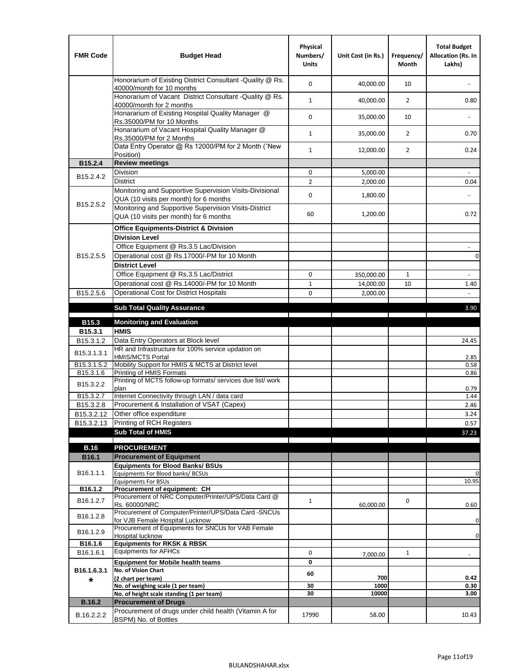| <b>FMR Code</b>         | <b>Budget Head</b>                                                                                | Physical<br>Numbers/<br><b>Units</b> | Unit Cost (in Rs.) | Frequency/<br><b>Month</b> | <b>Total Budget</b><br>Allocation (Rs. In<br>Lakhs) |
|-------------------------|---------------------------------------------------------------------------------------------------|--------------------------------------|--------------------|----------------------------|-----------------------------------------------------|
|                         | Honorarium of Existing District Consultant -Quality @ Rs.<br>40000/month for 10 months            | $\mathbf 0$                          | 40,000.00          | 10                         |                                                     |
|                         | Honorarium of Vacant District Consultant -Quality @ Rs.<br>40000/month for 2 months               | $\mathbf{1}$                         | 40,000.00          | $\overline{2}$             | 0.80                                                |
|                         | Honararium of Existing Hospital Quality Manager @<br>Rs.35000/PM for 10 Months                    | 0                                    | 35,000.00          | 10                         |                                                     |
|                         | Honararium of Vacant Hospital Quality Manager @<br>Rs.35000/PM for 2 Months                       | $\mathbf{1}$                         | 35,000.00          | $\overline{2}$             | 0.70                                                |
|                         | Data Entry Operator @ Rs 12000/PM for 2 Month ("New<br>Position)                                  | $\mathbf{1}$                         | 12,000.00          | $\overline{2}$             | 0.24                                                |
| B15.2.4                 | <b>Review meetings</b>                                                                            |                                      |                    |                            |                                                     |
| B <sub>15.2</sub> .4.2  | Division                                                                                          | 0                                    | 5,000.00           |                            |                                                     |
|                         | <b>District</b>                                                                                   | $\overline{2}$                       | 2,000.00           |                            | 0.04                                                |
| B15.2.5.2               | Monitoring and Supportive Supervision Visits-Divisional<br>QUA (10 visits per month) for 6 months | $\mathbf 0$                          | 1,800.00           |                            |                                                     |
|                         | Monitoring and Supportive Supervision Visits-District<br>QUA (10 visits per month) for 6 months   | 60                                   | 1,200.00           |                            | 0.72                                                |
|                         | <b>Office Equipments-District &amp; Division</b>                                                  |                                      |                    |                            |                                                     |
|                         | <b>Division Level</b>                                                                             |                                      |                    |                            |                                                     |
|                         | Office Equipment @ Rs.3.5 Lac/Division                                                            |                                      |                    |                            | $\sim$                                              |
| B15.2.5.5               | Operational cost @ Rs.17000/-PM for 10 Month                                                      |                                      |                    |                            | $\pmb{0}$                                           |
|                         | <b>District Level</b>                                                                             |                                      |                    |                            |                                                     |
|                         | Office Equipment @ Rs.3.5 Lac/District                                                            | 0                                    | 350,000.00         | $\mathbf{1}$               | $\blacksquare$                                      |
| B15.2.5.6               | Operational cost @ Rs.14000/-PM for 10 Month<br><b>Operational Cost for District Hospitals</b>    | $1\,$                                | 14,000.00          | 10                         | 1.40<br>$\mathbf{r}$                                |
|                         |                                                                                                   | 0                                    | 2,000.00           |                            |                                                     |
|                         | <b>Sub Total Quality Assurance</b>                                                                |                                      |                    |                            | 3.90                                                |
| B15.3                   | <b>Monitoring and Evaluation</b>                                                                  |                                      |                    |                            |                                                     |
| B15.3.1                 | <b>HMIS</b>                                                                                       |                                      |                    |                            |                                                     |
| B15.3.1.2               | Data Entry Operators at Block level                                                               |                                      |                    |                            | 24.45                                               |
| B15.3.1.3.1             | HR and Infrastructure for 100% service updation on<br><b>HMIS/MCTS Portal</b>                     |                                      |                    |                            | 2.85                                                |
| B <sub>15.3.1.5.2</sub> | Mobility Support for HMIS & MCTS at District level                                                |                                      |                    |                            | 0.58                                                |
| B15.3.1.6               | Printing of HMIS Formats<br>Printing of MCTS follow-up formats/ services due list/ work           |                                      |                    |                            | 0.86                                                |
| B15.3.2.2               | plan                                                                                              |                                      |                    |                            | 0.79                                                |
| B15.3.2.7               | Internet Connectivity through LAN / data card                                                     |                                      |                    |                            | 1.44                                                |
| B15.3.2.8               | Procurement & Installation of VSAT (Capex)                                                        |                                      |                    |                            | 2.46                                                |
| B15.3.2.12              | Other office expenditure                                                                          |                                      |                    |                            | 3.24                                                |
| B15.3.2.13              | Printing of RCH Registers                                                                         |                                      |                    |                            | 0.57                                                |
|                         | <b>Sub Total of HMIS</b>                                                                          |                                      |                    |                            | 37.23                                               |
| <b>B.16</b>             | <b>PROCUREMENT</b>                                                                                |                                      |                    |                            |                                                     |
| B16.1                   | <b>Procurement of Equipment</b>                                                                   |                                      |                    |                            |                                                     |
|                         | <b>Equipments for Blood Banks/ BSUs</b>                                                           |                                      |                    |                            |                                                     |
| B16.1.1.1               | Equipments For Blood banks/ BCSUs<br><b>Equipments For BSUs</b>                                   |                                      |                    |                            | 0<br>10.95                                          |
| B16.1.2                 | Procurement of equipment: CH                                                                      |                                      |                    |                            |                                                     |
| B16.1.2.7               | Procurement of NRC Computer/Printer/UPS/Data Card @                                               | $\mathbf{1}$                         |                    | 0                          |                                                     |
|                         | Rs. 60000/NRC<br>Procurement of Computer/Printer/UPS/Data Card -SNCUs                             |                                      | 60,000.00          |                            | 0.60                                                |
| B16.1.2.8               | for VJB Female Hospital Lucknow                                                                   |                                      |                    |                            | 0                                                   |
| B16.1.2.9               | Procurement of Equipments for SNCUs for VAB Female                                                |                                      |                    |                            |                                                     |
|                         | Hospital lucknow                                                                                  |                                      |                    |                            | 0                                                   |
| B16.1.6<br>B16.1.6.1    | <b>Equipments for RKSK &amp; RBSK</b><br><b>Equipments for AFHCs</b>                              | 0                                    |                    |                            |                                                     |
|                         | <b>Equipment for Mobile health teams</b>                                                          | 0                                    | 7,000.00           | $\mathbf{1}$               | ÷,                                                  |
| B16.1.6.3.1             | No. of Vision Chart                                                                               |                                      |                    |                            |                                                     |
| *                       | (2 chart per team)                                                                                | 60                                   | 700                |                            | 0.42                                                |
|                         | No. of weighing scale (1 per team)                                                                | 30                                   | 1000               |                            | 0.30                                                |
|                         | No. of height scale standing (1 per team)                                                         | 30                                   | 10000              |                            | 3.00                                                |
| <b>B.16.2</b>           | <b>Procurement of Drugs</b><br>Procurement of drugs under child health (Vitamin A for             |                                      |                    |                            |                                                     |
| B.16.2.2.2              | BSPM) No. of Bottles                                                                              | 17990                                | 58.00              |                            | 10.43                                               |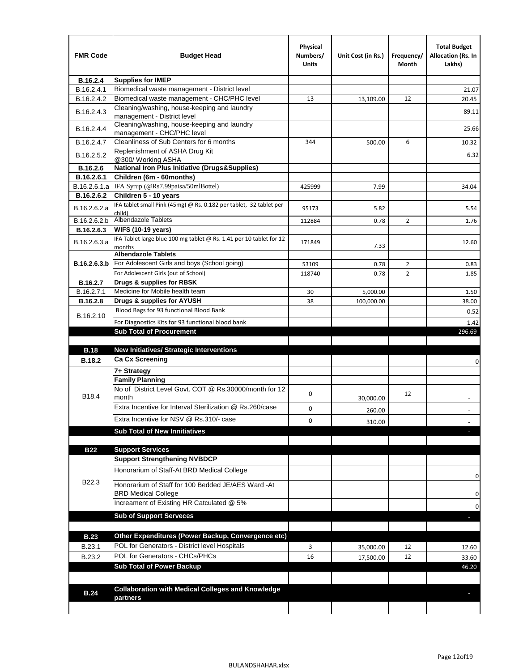| <b>FMR Code</b> | <b>Budget Head</b>                                                               | Physical<br>Numbers/<br>Units | Unit Cost (in Rs.) | Frequency/<br>Month              | <b>Total Budget</b><br><b>Allocation (Rs. In</b><br>Lakhs) |
|-----------------|----------------------------------------------------------------------------------|-------------------------------|--------------------|----------------------------------|------------------------------------------------------------|
| B.16.2.4        | <b>Supplies for IMEP</b>                                                         |                               |                    |                                  |                                                            |
| B.16.2.4.1      | Biomedical waste management - District level                                     |                               |                    |                                  | 21.07                                                      |
| B.16.2.4.2      | Biomedical waste management - CHC/PHC level                                      | 13                            | 13,109.00          | 12                               | 20.45                                                      |
| B.16.2.4.3      | Cleaning/washing, house-keeping and laundry<br>management - District level       |                               |                    |                                  | 89.11                                                      |
| B.16.2.4.4      | Cleaning/washing, house-keeping and laundry<br>management - CHC/PHC level        |                               |                    |                                  | 25.66                                                      |
| B.16.2.4.7      | Cleanliness of Sub Centers for 6 months                                          | 344                           | 500.00             | 6                                | 10.32                                                      |
| B.16.2.5.2      | Replenishment of ASHA Drug Kit<br>@300/ Working ASHA                             |                               |                    |                                  | 6.32                                                       |
| B.16.2.6        | <b>National Iron Plus Initiative (Drugs&amp;Supplies)</b>                        |                               |                    |                                  |                                                            |
| B.16.2.6.1      | Children (6m - 60months)                                                         |                               |                    |                                  |                                                            |
| B.16.2.6.1.a    | IFA Syrup (@Rs7.99paisa/50mlBottel)                                              | 425999                        | 7.99               |                                  | 34.04                                                      |
| B.16.2.6.2      | Children 5 - 10 years                                                            |                               |                    |                                  |                                                            |
| B.16.2.6.2.a    | IFA tablet small Pink (45mg) @ Rs. 0.182 per tablet, 32 tablet per<br>child)     | 95173                         | 5.82               |                                  | 5.54                                                       |
| B.16.2.6.2.b    | <b>Albendazole Tablets</b>                                                       | 112884                        | 0.78               | 2                                | 1.76                                                       |
| B.16.2.6.3      | <b>WIFS (10-19 years)</b>                                                        |                               |                    |                                  |                                                            |
| B.16.2.6.3.a    | IFA Tablet large blue 100 mg tablet @ Rs. 1.41 per 10 tablet for 12              | 171849                        |                    |                                  | 12.60                                                      |
|                 | months                                                                           |                               | 7.33               |                                  |                                                            |
| B.16.2.6.3.b    | <b>Albendazole Tablets</b><br>For Adolescent Girls and boys (School going)       |                               |                    |                                  |                                                            |
|                 | For Adolescent Girls (out of School)                                             | 53109<br>118740               | 0.78<br>0.78       | $\overline{2}$<br>$\overline{2}$ | 0.83<br>1.85                                               |
| B.16.2.7        | Drugs & supplies for RBSK                                                        |                               |                    |                                  |                                                            |
| B.16.2.7.1      | Medicine for Mobile health team                                                  | 30                            | 5,000.00           |                                  | 1.50                                                       |
| <b>B.16.2.8</b> | Drugs & supplies for AYUSH                                                       | 38                            | 100,000.00         |                                  | 38.00                                                      |
|                 | Blood Bags for 93 functional Blood Bank                                          |                               |                    |                                  | 0.52                                                       |
| B.16.2.10       | For Diagnostics Kits for 93 functional blood bank                                |                               |                    |                                  | 1.42                                                       |
|                 | <b>Sub Total of Procurement</b>                                                  |                               |                    |                                  | 296.69                                                     |
|                 |                                                                                  |                               |                    |                                  |                                                            |
| <b>B.18</b>     | <b>New Initiatives/ Strategic Interventions</b>                                  |                               |                    |                                  |                                                            |
| <b>B.18.2</b>   | <b>Ca Cx Screening</b>                                                           |                               |                    |                                  | 0                                                          |
|                 | 7+ Strategy                                                                      |                               |                    |                                  |                                                            |
|                 | <b>Family Planning</b>                                                           |                               |                    |                                  |                                                            |
| B18.4           | No of District Level Govt. COT @ Rs.30000/month for 12<br>month                  | 0                             | 30,000.00          | 12                               |                                                            |
|                 | Extra Incentive for Interval Sterilization @ Rs.260/case                         | 0                             |                    |                                  |                                                            |
|                 | Extra Incentive for NSV @ Rs.310/- case                                          |                               | 260.00             |                                  |                                                            |
|                 |                                                                                  | 0                             | 310.00             |                                  |                                                            |
|                 | <b>Sub Total of New Innitiatives</b>                                             |                               |                    |                                  |                                                            |
| <b>B22</b>      | <b>Support Services</b>                                                          |                               |                    |                                  |                                                            |
|                 | <b>Support Strengthening NVBDCP</b>                                              |                               |                    |                                  |                                                            |
|                 | Honorarium of Staff-At BRD Medical College                                       |                               |                    |                                  |                                                            |
| B22.3           |                                                                                  |                               |                    |                                  | 0                                                          |
|                 | Honorarium of Staff for 100 Bedded JE/AES Ward -At<br><b>BRD Medical College</b> |                               |                    |                                  |                                                            |
|                 | Increament of Existing HR Catculated @ 5%                                        |                               |                    |                                  | 0                                                          |
|                 |                                                                                  |                               |                    |                                  | 0                                                          |
|                 | <b>Sub of Support Serveces</b>                                                   |                               |                    |                                  |                                                            |
|                 |                                                                                  |                               |                    |                                  |                                                            |
| <b>B.23</b>     | Other Expenditures (Power Backup, Convergence etc)                               |                               |                    |                                  |                                                            |
| B.23.1          | POL for Generators - District level Hospitals                                    | 3                             | 35,000.00          | 12                               | 12.60                                                      |
| B.23.2          | POL for Generators - CHCs/PHCs                                                   | 16                            | 17,500.00          | 12                               | 33.60                                                      |
|                 | <b>Sub Total of Power Backup</b>                                                 |                               |                    |                                  | 46.20                                                      |
|                 |                                                                                  |                               |                    |                                  |                                                            |
| <b>B.24</b>     | <b>Collaboration with Medical Colleges and Knowledge</b>                         |                               |                    |                                  |                                                            |
|                 | partners                                                                         |                               |                    |                                  |                                                            |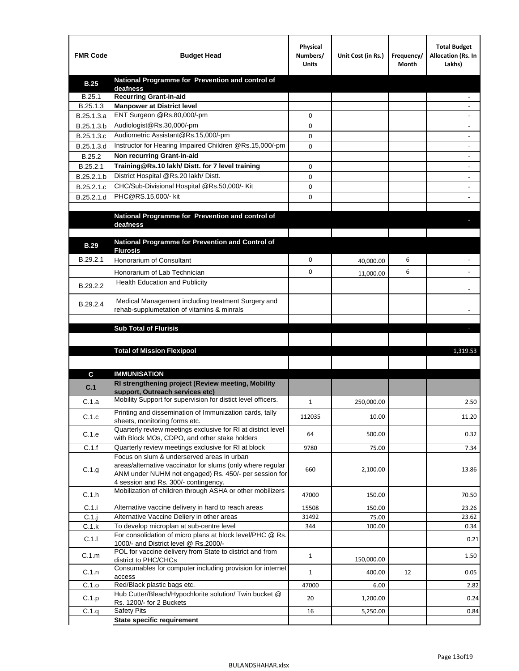| <b>FMR Code</b> | <b>Budget Head</b>                                                                                       | Physical<br>Numbers/<br><b>Units</b> | Unit Cost (in Rs.) | Frequency/<br>Month | <b>Total Budget</b><br>Allocation (Rs. In<br>Lakhs) |
|-----------------|----------------------------------------------------------------------------------------------------------|--------------------------------------|--------------------|---------------------|-----------------------------------------------------|
| <b>B.25</b>     | National Programme for Prevention and control of                                                         |                                      |                    |                     |                                                     |
| B.25.1          | deafness<br><b>Recurring Grant-in-aid</b>                                                                |                                      |                    |                     |                                                     |
| B.25.1.3        | <b>Manpower at District level</b>                                                                        |                                      |                    |                     |                                                     |
| B.25.1.3.a      | ENT Surgeon @Rs.80,000/-pm                                                                               | 0                                    |                    |                     |                                                     |
| B.25.1.3.b      | Audiologist@Rs.30,000/-pm                                                                                | 0                                    |                    |                     |                                                     |
| B.25.1.3.c      | Audiometric Assistant@Rs.15,000/-pm                                                                      | 0                                    |                    |                     |                                                     |
| B.25.1.3.d      | Instructor for Hearing Impaired Children @Rs.15,000/-pm                                                  | 0                                    |                    |                     |                                                     |
| B.25.2          | Non recurring Grant-in-aid                                                                               |                                      |                    |                     |                                                     |
| B.25.2.1        | Training@Rs.10 lakh/ Distt. for 7 level training                                                         | 0                                    |                    |                     |                                                     |
| B.25.2.1.b      | District Hospital @Rs.20 lakh/Distt.                                                                     | 0                                    |                    |                     |                                                     |
| B.25.2.1.c      | CHC/Sub-Divisional Hospital @Rs.50,000/- Kit                                                             | 0                                    |                    |                     |                                                     |
| B.25.2.1.d      | PHC@RS.15,000/- kit                                                                                      | 0                                    |                    |                     |                                                     |
|                 |                                                                                                          |                                      |                    |                     |                                                     |
|                 | National Programme for Prevention and control of<br>deafness                                             |                                      |                    |                     |                                                     |
|                 |                                                                                                          |                                      |                    |                     |                                                     |
| <b>B.29</b>     | National Programme for Prevention and Control of                                                         |                                      |                    |                     |                                                     |
|                 | <b>Flurosis</b>                                                                                          |                                      |                    |                     |                                                     |
| B.29.2.1        | Honorarium of Consultant                                                                                 | 0                                    | 40,000.00          | 6                   |                                                     |
|                 | Honorarium of Lab Technician                                                                             | 0                                    | 11,000.00          | 6                   |                                                     |
| B.29.2.2        | Health Education and Publicity                                                                           |                                      |                    |                     |                                                     |
|                 | Medical Management including treatment Surgery and                                                       |                                      |                    |                     |                                                     |
| B.29.2.4        | rehab-supplumetation of vitamins & minrals                                                               |                                      |                    |                     |                                                     |
|                 |                                                                                                          |                                      |                    |                     |                                                     |
|                 | <b>Sub Total of Flurisis</b>                                                                             |                                      |                    |                     | ы                                                   |
|                 |                                                                                                          |                                      |                    |                     |                                                     |
|                 | <b>Total of Mission Flexipool</b>                                                                        |                                      |                    |                     | 1,319.53                                            |
|                 |                                                                                                          |                                      |                    |                     |                                                     |
| C               | <b>IMMUNISATION</b>                                                                                      |                                      |                    |                     |                                                     |
| C.1             | RI strengthening project (Review meeting, Mobility                                                       |                                      |                    |                     |                                                     |
|                 | support, Outreach services etc)<br>Mobility Support for supervision for distict level officers.          |                                      |                    |                     |                                                     |
| C.1.a           |                                                                                                          | 1                                    | 250,000.00         |                     | 2.50                                                |
| C.1.c           | Printing and dissemination of Immunization cards, tally<br>sheets, monitoring forms etc.                 | 112035                               | 10.00              |                     | 11.20                                               |
|                 | Quarterly review meetings exclusive for RI at district level                                             |                                      |                    |                     |                                                     |
| C.1.e           | with Block MOs, CDPO, and other stake holders                                                            | 64                                   | 500.00             |                     | 0.32                                                |
| C.1.f           | Quarterly review meetings exclusive for RI at block                                                      | 9780                                 | 75.00              |                     | 7.34                                                |
|                 | Focus on slum & underserved areas in urban<br>areas/alternative vaccinator for slums (only where regular |                                      |                    |                     |                                                     |
| C.1.g           | ANM under NUHM not engaged) Rs. 450/- per session for                                                    | 660                                  | 2,100.00           |                     | 13.86                                               |
|                 | 4 session and Rs. 300/- contingency.                                                                     |                                      |                    |                     |                                                     |
| C.1.h           | Mobilization of children through ASHA or other mobilizers                                                | 47000                                | 150.00             |                     | 70.50                                               |
| C.1.i           | Alternative vaccine delivery in hard to reach areas                                                      | 15508                                | 150.00             |                     | 23.26                                               |
| $C.1$ .j        | Alternative Vaccine Deliery in other areas                                                               | 31492                                | 75.00              |                     | 23.62                                               |
| C.1.k           | To develop microplan at sub-centre level                                                                 | 344                                  | 100.00             |                     | 0.34                                                |
| C.1.1           | For consolidation of micro plans at block level/PHC @ Rs.                                                |                                      |                    |                     | 0.21                                                |
|                 | 1000/- and District level @ Rs.2000/-                                                                    |                                      |                    |                     |                                                     |
| C.1.m           | POL for vaccine delivery from State to district and from<br>district to PHC/CHCs                         | $\mathbf{1}$                         | 150,000.00         |                     | 1.50                                                |
| C.1.n           | Consumables for computer including provision for internet                                                | $\mathbf{1}$                         | 400.00             | 12                  | 0.05                                                |
|                 | access                                                                                                   |                                      |                    |                     |                                                     |
| C.1.o           | Red/Black plastic bags etc.<br>Hub Cutter/Bleach/Hypochlorite solution/ Twin bucket @                    | 47000                                | 6.00               |                     | 2.82                                                |
| C.1.p           | Rs. 1200/- for 2 Buckets                                                                                 | 20                                   | 1,200.00           |                     | 0.24                                                |
| C.1.q           | <b>Safety Pits</b>                                                                                       | 16                                   | 5,250.00           |                     | 0.84                                                |
|                 | <b>State specific requirement</b>                                                                        |                                      |                    |                     |                                                     |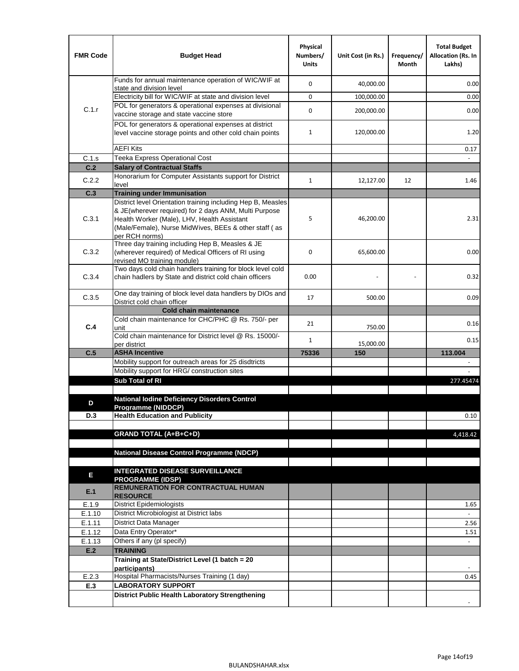| <b>FMR Code</b> | <b>Budget Head</b>                                                                                                                                                              | Physical<br>Numbers/<br><b>Units</b> | Unit Cost (in Rs.) | Frequency/<br>Month | <b>Total Budget</b><br><b>Allocation (Rs. In</b><br>Lakhs) |
|-----------------|---------------------------------------------------------------------------------------------------------------------------------------------------------------------------------|--------------------------------------|--------------------|---------------------|------------------------------------------------------------|
|                 | Funds for annual maintenance operation of WIC/WIF at<br>state and division level                                                                                                | $\mathbf 0$                          | 40,000.00          |                     | 0.00                                                       |
|                 | Electricity bill for WIC/WIF at state and division level                                                                                                                        | $\mathbf 0$                          | 100,000.00         |                     | 0.00                                                       |
| C.1.r           | POL for generators & operational expenses at divisional                                                                                                                         | $\mathbf 0$                          |                    |                     |                                                            |
|                 | vaccine storage and state vaccine store                                                                                                                                         |                                      | 200,000.00         |                     | 0.00                                                       |
|                 | POL for generators & operational expenses at district<br>level vaccine storage points and other cold chain points                                                               | $\mathbf{1}$                         | 120,000.00         |                     | 1.20                                                       |
|                 | <b>AEFI Kits</b>                                                                                                                                                                |                                      |                    |                     | 0.17                                                       |
| C.1.s           | Teeka Express Operational Cost                                                                                                                                                  |                                      |                    |                     |                                                            |
| C.2             | <b>Salary of Contractual Staffs</b>                                                                                                                                             |                                      |                    |                     |                                                            |
| C.2.2           | Honorarium for Computer Assistants support for District<br>level                                                                                                                | $\mathbf{1}$                         | 12,127.00          | 12                  | 1.46                                                       |
| C.3             | <b>Training under Immunisation</b>                                                                                                                                              |                                      |                    |                     |                                                            |
|                 | District level Orientation training including Hep B, Measles                                                                                                                    |                                      |                    |                     |                                                            |
| C.3.1           | & JE(wherever required) for 2 days ANM, Multi Purpose<br>Health Worker (Male), LHV, Health Assistant<br>(Male/Female), Nurse MidWives, BEEs & other staff (as<br>per RCH norms) | 5                                    | 46,200.00          |                     | 2.31                                                       |
| C.3.2           | Three day training including Hep B, Measles & JE<br>(wherever required) of Medical Officers of RI using<br>revised MO training module)                                          | $\mathbf 0$                          | 65,600.00          |                     | 0.00                                                       |
| C.3.4           | Two days cold chain handlers training for block level cold<br>chain hadlers by State and district cold chain officers                                                           | 0.00                                 |                    |                     | 0.32                                                       |
| C.3.5           | One day training of block level data handlers by DIOs and<br>District cold chain officer                                                                                        | 17                                   | 500.00             |                     | 0.09                                                       |
|                 | <b>Cold chain maintenance</b>                                                                                                                                                   |                                      |                    |                     |                                                            |
| C.4             | Cold chain maintenance for CHC/PHC @ Rs. 750/- per<br>unit                                                                                                                      | 21                                   | 750.00             |                     | 0.16                                                       |
|                 | Cold chain maintenance for District level @ Rs. 15000/-<br>per district                                                                                                         | $\mathbf{1}$                         | 15,000.00          |                     | 0.15                                                       |
| C.5             | <b>ASHA Incentive</b>                                                                                                                                                           | 75336                                | 150                |                     | 113.004                                                    |
|                 | Mobility support for outreach areas for 25 disdtricts                                                                                                                           |                                      |                    |                     |                                                            |
|                 | Mobility support for HRG/ construction sites                                                                                                                                    |                                      |                    |                     |                                                            |
|                 | Sub Total of RI                                                                                                                                                                 |                                      |                    |                     | 277.45474                                                  |
|                 | <b>National Iodine Deficiency Disorders Control</b>                                                                                                                             |                                      |                    |                     |                                                            |
| D               | Programme (NIDDCP)                                                                                                                                                              |                                      |                    |                     |                                                            |
| D.3             | <b>Health Education and Publicity</b>                                                                                                                                           |                                      |                    |                     | 0.10                                                       |
|                 | <b>GRAND TOTAL (A+B+C+D)</b>                                                                                                                                                    |                                      |                    |                     |                                                            |
|                 |                                                                                                                                                                                 |                                      |                    |                     | 4,418.42                                                   |
|                 | National Disease Control Programme (NDCP)                                                                                                                                       |                                      |                    |                     |                                                            |
|                 |                                                                                                                                                                                 |                                      |                    |                     |                                                            |
| Е               | <b>INTEGRATED DISEASE SURVEILLANCE</b>                                                                                                                                          |                                      |                    |                     |                                                            |
|                 | <b>PROGRAMME (IDSP)</b>                                                                                                                                                         |                                      |                    |                     |                                                            |
| E.1             | <b>REMUNERATION FOR CONTRACTUAL HUMAN</b><br><b>RESOURCE</b>                                                                                                                    |                                      |                    |                     |                                                            |
| E.1.9           | District Epidemiologists                                                                                                                                                        |                                      |                    |                     | 1.65                                                       |
| E.1.10          | District Microbiologist at District labs                                                                                                                                        |                                      |                    |                     |                                                            |
| E.1.11          | District Data Manager                                                                                                                                                           |                                      |                    |                     | 2.56                                                       |
| E.1.12          | Data Entry Operator*                                                                                                                                                            |                                      |                    |                     | 1.51                                                       |
| E.1.13          | Others if any (pl specify)                                                                                                                                                      |                                      |                    |                     | $\blacksquare$                                             |
| E.2             | <b>TRAINING</b>                                                                                                                                                                 |                                      |                    |                     |                                                            |
|                 | Training at State/District Level (1 batch = 20<br>participants)                                                                                                                 |                                      |                    |                     |                                                            |
| E.2.3           | Hospital Pharmacists/Nurses Training (1 day)                                                                                                                                    |                                      |                    |                     | 0.45                                                       |
| E.3             | <b>LABORATORY SUPPORT</b>                                                                                                                                                       |                                      |                    |                     |                                                            |
|                 | <b>District Public Health Laboratory Strengthening</b>                                                                                                                          |                                      |                    |                     |                                                            |
|                 |                                                                                                                                                                                 |                                      |                    |                     |                                                            |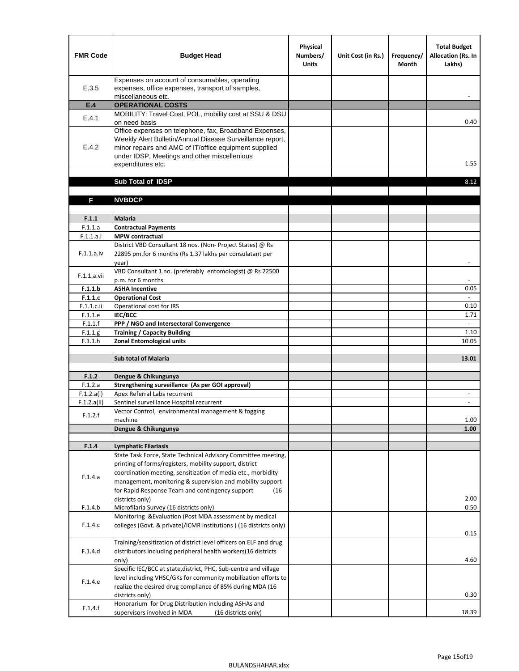| <b>FMR Code</b>       | <b>Budget Head</b>                                                                                                                                                                                                                                | Physical<br>Numbers/<br><b>Units</b> | Unit Cost (in Rs.) | Frequency/<br>Month | <b>Total Budget</b><br><b>Allocation (Rs. In</b><br>Lakhs) |
|-----------------------|---------------------------------------------------------------------------------------------------------------------------------------------------------------------------------------------------------------------------------------------------|--------------------------------------|--------------------|---------------------|------------------------------------------------------------|
| E.3.5                 | Expenses on account of consumables, operating<br>expenses, office expenses, transport of samples,<br>miscellaneous etc.                                                                                                                           |                                      |                    |                     |                                                            |
| E.4                   | <b>OPERATIONAL COSTS</b>                                                                                                                                                                                                                          |                                      |                    |                     |                                                            |
| E.4.1                 | MOBILITY: Travel Cost, POL, mobility cost at SSU & DSU                                                                                                                                                                                            |                                      |                    |                     |                                                            |
|                       | on need basis                                                                                                                                                                                                                                     |                                      |                    |                     | 0.40                                                       |
| E.4.2                 | Office expenses on telephone, fax, Broadband Expenses,<br>Weekly Alert Bulletin/Annual Disease Surveillance report,<br>minor repairs and AMC of IT/office equipment supplied<br>under IDSP, Meetings and other miscellenious<br>expenditures etc. |                                      |                    |                     | 1.55                                                       |
|                       | Sub Total of IDSP                                                                                                                                                                                                                                 |                                      |                    |                     | 8.12                                                       |
|                       |                                                                                                                                                                                                                                                   |                                      |                    |                     |                                                            |
| F                     | <b>NVBDCP</b>                                                                                                                                                                                                                                     |                                      |                    |                     |                                                            |
|                       |                                                                                                                                                                                                                                                   |                                      |                    |                     |                                                            |
| F.1.1                 | <b>Malaria</b>                                                                                                                                                                                                                                    |                                      |                    |                     |                                                            |
| F.1.1.a               | <b>Contractual Payments</b>                                                                                                                                                                                                                       |                                      |                    |                     |                                                            |
| F.1.1.a.i             | <b>MPW</b> contractual                                                                                                                                                                                                                            |                                      |                    |                     |                                                            |
| F.1.1.a.iv            | District VBD Consultant 18 nos. (Non-Project States) @ Rs<br>22895 pm.for 6 months (Rs 1.37 lakhs per consulatant per<br>year)                                                                                                                    |                                      |                    |                     | $\overline{\phantom{a}}$                                   |
|                       | VBD Consultant 1 no. (preferably entomologist) @ Rs 22500                                                                                                                                                                                         |                                      |                    |                     |                                                            |
| F.1.1.a.vii           | p.m. for 6 months                                                                                                                                                                                                                                 |                                      |                    |                     |                                                            |
| F.1.1.b               | <b>ASHA Incentive</b>                                                                                                                                                                                                                             |                                      |                    |                     | 0.05                                                       |
| F.1.1.c               | <b>Operational Cost</b>                                                                                                                                                                                                                           |                                      |                    |                     |                                                            |
| F.1.1.c.ii            | Operational cost for IRS                                                                                                                                                                                                                          |                                      |                    |                     | 0.10                                                       |
| F.1.1.e<br>F.1.1.f    | <b>IEC/BCC</b><br>PPP / NGO and Intersectoral Convergence                                                                                                                                                                                         |                                      |                    |                     | 1.71<br>$\omega$                                           |
| F.1.1.g               | <b>Training / Capacity Building</b>                                                                                                                                                                                                               |                                      |                    |                     | 1.10                                                       |
| F.1.1.h               | <b>Zonal Entomological units</b>                                                                                                                                                                                                                  |                                      |                    |                     | 10.05                                                      |
|                       |                                                                                                                                                                                                                                                   |                                      |                    |                     |                                                            |
|                       | <b>Sub total of Malaria</b>                                                                                                                                                                                                                       |                                      |                    |                     | 13.01                                                      |
|                       |                                                                                                                                                                                                                                                   |                                      |                    |                     |                                                            |
| F.1.2                 | Dengue & Chikungunya                                                                                                                                                                                                                              |                                      |                    |                     |                                                            |
| F.1.2.a<br>F.1.2.a(i) | Strengthening surveillance (As per GOI approval)<br>Apex Referral Labs recurrent                                                                                                                                                                  |                                      |                    |                     |                                                            |
| F.1.2.a(ii)           | Sentinel surveillance Hospital recurrent                                                                                                                                                                                                          |                                      |                    |                     | $\blacksquare$                                             |
|                       | Vector Control, environmental management & fogging                                                                                                                                                                                                |                                      |                    |                     |                                                            |
| F.1.2.f               | machine                                                                                                                                                                                                                                           |                                      |                    |                     | 1.00                                                       |
|                       | Dengue & Chikungunya                                                                                                                                                                                                                              |                                      |                    |                     | 1.00                                                       |
|                       |                                                                                                                                                                                                                                                   |                                      |                    |                     |                                                            |
| F.1.4                 | <b>Lymphatic Filariasis</b>                                                                                                                                                                                                                       |                                      |                    |                     |                                                            |
|                       | State Task Force, State Technical Advisory Committee meeting,<br>printing of forms/registers, mobility support, district                                                                                                                          |                                      |                    |                     |                                                            |
|                       | coordination meeting, sensitization of media etc., morbidity                                                                                                                                                                                      |                                      |                    |                     |                                                            |
| F.1.4.a               | management, monitoring & supervision and mobility support                                                                                                                                                                                         |                                      |                    |                     |                                                            |
|                       | for Rapid Response Team and contingency support<br>(16)                                                                                                                                                                                           |                                      |                    |                     |                                                            |
|                       | districts only)                                                                                                                                                                                                                                   |                                      |                    |                     | 2.00                                                       |
| F.1.4.b               | Microfilaria Survey (16 districts only)                                                                                                                                                                                                           |                                      |                    |                     | 0.50                                                       |
| F.1.4.c               | Monitoring & Evaluation (Post MDA assessment by medical<br>colleges (Govt. & private)/ICMR institutions ) (16 districts only)                                                                                                                     |                                      |                    |                     | 0.15                                                       |
|                       | Training/sensitization of district level officers on ELF and drug                                                                                                                                                                                 |                                      |                    |                     |                                                            |
| F.1.4.d               | distributors including peripheral health workers(16 districts                                                                                                                                                                                     |                                      |                    |                     |                                                            |
|                       | only)                                                                                                                                                                                                                                             |                                      |                    |                     | 4.60                                                       |
|                       | Specific IEC/BCC at state, district, PHC, Sub-centre and village                                                                                                                                                                                  |                                      |                    |                     |                                                            |
| F.1.4.e               | level including VHSC/GKs for community mobilization efforts to                                                                                                                                                                                    |                                      |                    |                     |                                                            |
|                       | realize the desired drug compliance of 85% during MDA (16                                                                                                                                                                                         |                                      |                    |                     |                                                            |
|                       | districts only)<br>Honorarium for Drug Distribution including ASHAs and                                                                                                                                                                           |                                      |                    |                     | 0.30                                                       |
| F.1.4.f               | supervisors involved in MDA<br>(16 districts only)                                                                                                                                                                                                |                                      |                    |                     | 18.39                                                      |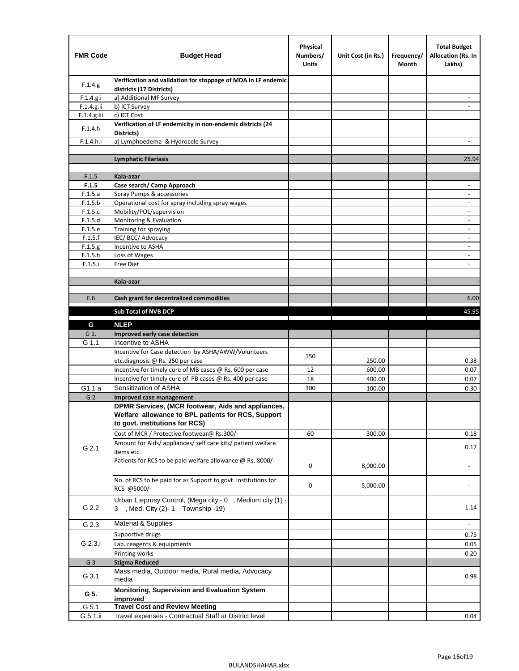| <b>FMR Code</b> | <b>Budget Head</b>                                                                                                                         | Physical<br>Numbers/<br><b>Units</b> | Unit Cost (in Rs.) | Frequency/<br>Month | <b>Total Budget</b><br>Allocation (Rs. In<br>Lakhs) |
|-----------------|--------------------------------------------------------------------------------------------------------------------------------------------|--------------------------------------|--------------------|---------------------|-----------------------------------------------------|
| F.1.4.g.        | Verification and validation for stoppage of MDA in LF endemic<br>districts (17 Districts)                                                  |                                      |                    |                     |                                                     |
| F.1.4.g.i       | a) Additional MF Survey                                                                                                                    |                                      |                    |                     |                                                     |
| F.1.4.g.ii      | b) ICT Survey                                                                                                                              |                                      |                    |                     |                                                     |
| $F.1.4.g.$ iii  | c) ICT Cost                                                                                                                                |                                      |                    |                     |                                                     |
| F.1.4.h         | Verification of LF endemicity in non-endemic districts (24<br>Districts)                                                                   |                                      |                    |                     |                                                     |
| F.1.4.h.i       | a) Lymphoedema & Hydrocele Survey                                                                                                          |                                      |                    |                     |                                                     |
|                 | <b>Lymphatic Filariasis</b>                                                                                                                |                                      |                    |                     | 25.94                                               |
|                 |                                                                                                                                            |                                      |                    |                     |                                                     |
| F.1.5           | Kala-azar                                                                                                                                  |                                      |                    |                     |                                                     |
| F.1.5           | Case search/ Camp Approach                                                                                                                 |                                      |                    |                     | $\overline{\phantom{a}}$                            |
| F.1.5.a         | Spray Pumps & accessories                                                                                                                  |                                      |                    |                     |                                                     |
| F.1.5.b         | Operational cost for spray including spray wages                                                                                           |                                      |                    |                     |                                                     |
| F.1.5.c         | Mobility/POL/supervision                                                                                                                   |                                      |                    |                     | $\blacksquare$                                      |
| F.1.5.d         | Monitoring & Evaluation                                                                                                                    |                                      |                    |                     |                                                     |
| F.1.5.e         | Training for spraying                                                                                                                      |                                      |                    |                     | $\overline{\phantom{a}}$                            |
| F.1.5.f         | IEC/BCC/Advocacy                                                                                                                           |                                      |                    |                     |                                                     |
| F.1.5.g         | Incentive to ASHA                                                                                                                          |                                      |                    |                     | $\overline{\phantom{a}}$                            |
| F.1.5.h         | Loss of Wages                                                                                                                              |                                      |                    |                     | $\overline{\phantom{a}}$                            |
| F.1.5.i         | Free Diet                                                                                                                                  |                                      |                    |                     |                                                     |
|                 | Kala-azar                                                                                                                                  |                                      |                    |                     |                                                     |
|                 |                                                                                                                                            |                                      |                    |                     |                                                     |
| F.6             | Cash grant for decentralized commodities                                                                                                   |                                      |                    |                     | 6.00                                                |
|                 | <b>Sub Total of NVB DCP</b>                                                                                                                |                                      |                    |                     | 45.95                                               |
|                 |                                                                                                                                            |                                      |                    |                     |                                                     |
| G               | <b>NLEP</b>                                                                                                                                |                                      |                    |                     |                                                     |
| G 1.            | Improved early case detection                                                                                                              |                                      |                    |                     |                                                     |
| G 1.1           | Incentive to ASHA                                                                                                                          |                                      |                    |                     |                                                     |
|                 | Incentive for Case detection by ASHA/AWW/Volunteers                                                                                        | 150                                  |                    |                     |                                                     |
|                 | etc.diagnosis @ Rs. 250 per case<br>Incentive for timely cure of MB cases @ Rs. 600 per case                                               |                                      | 250.00             |                     | 0.38                                                |
|                 |                                                                                                                                            | 12                                   | 600.00             |                     | 0.07                                                |
|                 | Incentive for timely cure of PB cases @ Rs. 400 per case<br>Sensitization of ASHA                                                          | 18                                   | 400.00             |                     | 0.07                                                |
| G1.1 a          |                                                                                                                                            | 300                                  | 100.00             |                     | 0.30                                                |
| G <sub>2</sub>  | Improved case management                                                                                                                   |                                      |                    |                     |                                                     |
|                 | DPMR Services, (MCR footwear, Aids and appliances,<br>Welfare allowance to BPL patients for RCS, Support<br>to govt. institutions for RCS) |                                      |                    |                     |                                                     |
|                 | Cost of MCR / Protective footwear@ Rs.300/-                                                                                                | 60                                   | 300.00             |                     | 0.18                                                |
|                 | Amount for Aids/ appliances/ self care kits/ patient welfare                                                                               |                                      |                    |                     |                                                     |
| G 2.1           | items etc.                                                                                                                                 |                                      |                    |                     | 0.17                                                |
|                 | Patients for RCS to be paid welfare allowance @ Rs. 8000/-                                                                                 | 0                                    | 8,000.00           |                     |                                                     |
|                 | No. of RCS to be paid for as Support to govt. institutions for<br>RCS @5000/-                                                              | 0                                    | 5,000.00           |                     |                                                     |
| G 2.2           | Urban L:eprosy Control, (Mega city - 0, Medium city (1) -<br>3 , Med. City (2)-1 Township -19)                                             |                                      |                    |                     | 1.14                                                |
| G 2.3           | <b>Material &amp; Supplies</b>                                                                                                             |                                      |                    |                     | $\overline{\phantom{a}}$                            |
|                 | Supportive drugs                                                                                                                           |                                      |                    |                     | 0.75                                                |
| G 2.3.i         | Lab. reagents & equipments                                                                                                                 |                                      |                    |                     | 0.05                                                |
|                 | Printing works                                                                                                                             |                                      |                    |                     | 0.20                                                |
| G <sub>3</sub>  | <b>Stigma Reduced</b>                                                                                                                      |                                      |                    |                     |                                                     |
|                 | Mass media, Outdoor media, Rural media, Advocacy                                                                                           |                                      |                    |                     |                                                     |
| G 3.1           | media                                                                                                                                      |                                      |                    |                     | 0.98                                                |
| G 5.            | Monitoring, Supervision and Evaluation System<br>improved                                                                                  |                                      |                    |                     |                                                     |
| G 5.1           | <b>Travel Cost and Review Meeting</b>                                                                                                      |                                      |                    |                     |                                                     |
| G 5.1.ii        | travel expenses - Contractual Staff at District level                                                                                      |                                      |                    |                     | 0.04                                                |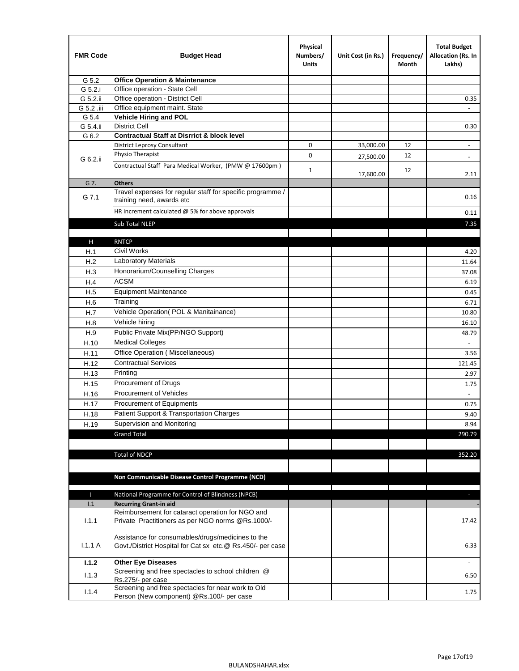| <b>FMR Code</b> | <b>Budget Head</b>                                                                                              | Physical<br>Numbers/<br><b>Units</b> | Unit Cost (in Rs.) | Frequency/<br>Month | <b>Total Budget</b><br>Allocation (Rs. In<br>Lakhs) |
|-----------------|-----------------------------------------------------------------------------------------------------------------|--------------------------------------|--------------------|---------------------|-----------------------------------------------------|
| G 5.2           | <b>Office Operation &amp; Maintenance</b>                                                                       |                                      |                    |                     |                                                     |
| G 5.2.i         | Office operation - State Cell                                                                                   |                                      |                    |                     |                                                     |
| G 5.2.ii        | Office operation - District Cell                                                                                |                                      |                    |                     | 0.35                                                |
| G 5.2 .iii      | Office equipment maint. State                                                                                   |                                      |                    |                     |                                                     |
| G 5.4           | <b>Vehicle Hiring and POL</b>                                                                                   |                                      |                    |                     |                                                     |
| G 5.4.ii        | <b>District Cell</b>                                                                                            |                                      |                    |                     | 0.30                                                |
| G 6.2           | <b>Contractual Staff at Disrrict &amp; block level</b>                                                          |                                      |                    |                     |                                                     |
|                 | <b>District Leprosy Consultant</b>                                                                              | 0                                    | 33,000.00          | 12                  |                                                     |
| G 6.2.ii        | Physio Therapist                                                                                                | 0                                    | 27,500.00          | 12                  | $\overline{\phantom{a}}$                            |
|                 | Contractual Staff Para Medical Worker, (PMW @ 17600pm)                                                          | $\mathbf{1}$                         | 17,600.00          | 12                  | 2.11                                                |
| G 7.            | <b>Others</b>                                                                                                   |                                      |                    |                     |                                                     |
| G 7.1           | Travel expenses for regular staff for specific programme /<br>training need, awards etc                         |                                      |                    |                     | 0.16                                                |
|                 | HR increment calculated $@$ 5% for above approvals                                                              |                                      |                    |                     | 0.11                                                |
|                 | Sub Total NLEP                                                                                                  |                                      |                    |                     | 7.35                                                |
|                 |                                                                                                                 |                                      |                    |                     |                                                     |
| Н               | <b>RNTCP</b>                                                                                                    |                                      |                    |                     |                                                     |
| H.1             | Civil Works                                                                                                     |                                      |                    |                     | 4.20                                                |
| H.2             | Laboratory Materials                                                                                            |                                      |                    |                     | 11.64                                               |
| H.3             | Honorarium/Counselling Charges                                                                                  |                                      |                    |                     | 37.08                                               |
| H.4             | <b>ACSM</b>                                                                                                     |                                      |                    |                     | 6.19                                                |
| H.5             | <b>Equipment Maintenance</b>                                                                                    |                                      |                    |                     | 0.45                                                |
| H.6             | Training                                                                                                        |                                      |                    |                     | 6.71                                                |
| H.7             | Vehicle Operation(POL & Manitainance)                                                                           |                                      |                    |                     | 10.80                                               |
| H.8             | Vehicle hiring                                                                                                  |                                      |                    |                     | 16.10                                               |
| H.9             | Public Private Mix(PP/NGO Support)                                                                              |                                      |                    |                     | 48.79                                               |
| H.10            | <b>Medical Colleges</b>                                                                                         |                                      |                    |                     |                                                     |
| H.11            | Office Operation (Miscellaneous)                                                                                |                                      |                    |                     | 3.56                                                |
| H.12            | <b>Contractual Services</b>                                                                                     |                                      |                    |                     | 121.45                                              |
| H.13            | Printing                                                                                                        |                                      |                    |                     | 2.97                                                |
| H.15            | Procurement of Drugs                                                                                            |                                      |                    |                     | 1.75                                                |
| H.16            | Procurement of Vehicles                                                                                         |                                      |                    |                     | $\sim$                                              |
| H.17            | Procurement of Equipments                                                                                       |                                      |                    |                     | 0.75                                                |
| H.18            | Patient Support & Transportation Charges                                                                        |                                      |                    |                     | 9.40                                                |
| H.19            | Supervision and Monitoring                                                                                      |                                      |                    |                     | 8.94                                                |
|                 | <b>Grand Total</b>                                                                                              |                                      |                    |                     | 290.79                                              |
|                 |                                                                                                                 |                                      |                    |                     |                                                     |
|                 | <b>Total of NDCP</b>                                                                                            |                                      |                    |                     | 352.20                                              |
|                 | Non Communicable Disease Control Programme (NCD)                                                                |                                      |                    |                     |                                                     |
|                 |                                                                                                                 |                                      |                    |                     |                                                     |
| Т               | National Programme for Control of Blindness (NPCB)                                                              |                                      |                    |                     | ÷.                                                  |
| 1.1             | <b>Recurring Grant-in aid</b>                                                                                   |                                      |                    |                     |                                                     |
| 1.1.1           | Reimbursement for cataract operation for NGO and<br>Private Practitioners as per NGO norms @Rs.1000/-           |                                      |                    |                     | 17.42                                               |
| 1.1.1A          | Assistance for consumables/drugs/medicines to the<br>Govt./District Hospital for Cat sx etc.@ Rs.450/- per case |                                      |                    |                     | 6.33                                                |
| 1.1.2           | <b>Other Eye Diseases</b>                                                                                       |                                      |                    |                     |                                                     |
|                 | Screening and free spectacles to school children @                                                              |                                      |                    |                     |                                                     |
| 1.1.3           | Rs.275/- per case                                                                                               |                                      |                    |                     | 6.50                                                |
| 1.1.4           | Screening and free spectacles for near work to Old<br>Person (New component) @Rs.100/- per case                 |                                      |                    |                     | 1.75                                                |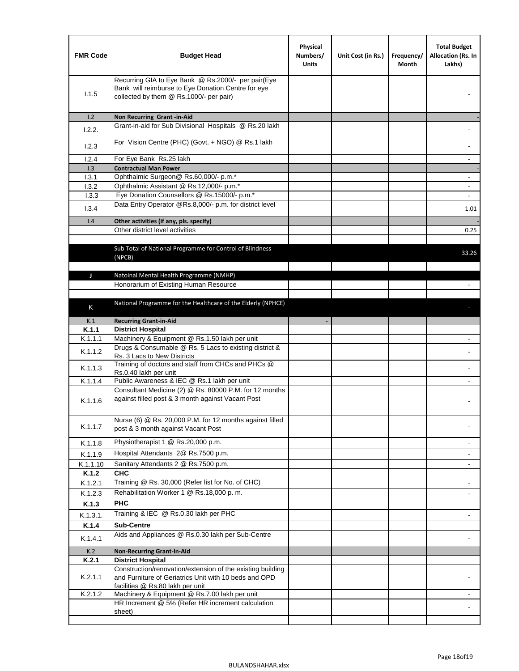| <b>FMR Code</b> | <b>Budget Head</b>                                                                                                                                      | Physical<br>Numbers/<br><b>Units</b> | Unit Cost (in Rs.) | Frequency/<br>Month | <b>Total Budget</b><br>Allocation (Rs. In<br>Lakhs) |
|-----------------|---------------------------------------------------------------------------------------------------------------------------------------------------------|--------------------------------------|--------------------|---------------------|-----------------------------------------------------|
| 1.1.5           | Recurring GIA to Eye Bank @ Rs.2000/- per pair(Eye<br>Bank will reimburse to Eye Donation Centre for eye<br>collected by them @ Rs.1000/- per pair)     |                                      |                    |                     |                                                     |
| 1.2             | Non Recurring Grant -in-Aid                                                                                                                             |                                      |                    |                     |                                                     |
| 1.2.2.          | Grant-in-aid for Sub Divisional Hospitals @ Rs.20 lakh                                                                                                  |                                      |                    |                     |                                                     |
| 1.2.3           | For Vision Centre (PHC) (Govt. + NGO) @ Rs.1 lakh                                                                                                       |                                      |                    |                     |                                                     |
| 1.2.4           | For Eye Bank Rs.25 lakh                                                                                                                                 |                                      |                    |                     | ÷.                                                  |
| 1.3             | <b>Contractual Man Power</b>                                                                                                                            |                                      |                    |                     |                                                     |
| 1.3.1           | Ophthalmic Surgeon@ Rs.60,000/- p.m.*                                                                                                                   |                                      |                    |                     | $\overline{\phantom{a}}$                            |
| 1.3.2           | Ophthalmic Assistant @ Rs.12,000/- p.m.*                                                                                                                |                                      |                    |                     |                                                     |
| 1.3.3           | Eye Donation Counsellors @ Rs.15000/- p.m.*                                                                                                             |                                      |                    |                     | $\overline{\phantom{a}}$                            |
| 1.3.4           | Data Entry Operator @Rs.8,000/- p.m. for district level                                                                                                 |                                      |                    |                     | 1.01                                                |
| 1.4             | Other activities (if any, pls. specify)                                                                                                                 |                                      |                    |                     |                                                     |
|                 | Other district level activities                                                                                                                         |                                      |                    |                     | 0.25                                                |
|                 | Sub Total of National Programme for Control of Blindness<br>(NPCB)                                                                                      |                                      |                    |                     | 33.26                                               |
|                 | Natoinal Mental Health Programme (NMHP)                                                                                                                 |                                      |                    |                     |                                                     |
| J               | Honorarium of Existing Human Resource                                                                                                                   |                                      |                    |                     |                                                     |
|                 |                                                                                                                                                         |                                      |                    |                     |                                                     |
|                 | National Programme for the Healthcare of the Elderly (NPHCE)                                                                                            |                                      |                    |                     |                                                     |
| K               |                                                                                                                                                         |                                      |                    |                     |                                                     |
| K.1             | <b>Recurring Grant-in-Aid</b>                                                                                                                           |                                      |                    |                     |                                                     |
| K.1.1           | <b>District Hospital</b>                                                                                                                                |                                      |                    |                     |                                                     |
| K.1.1.1         | Machinery & Equipment @ Rs.1.50 lakh per unit                                                                                                           |                                      |                    |                     |                                                     |
| K.1.1.2         | Drugs & Consumable @ Rs. 5 Lacs to existing district &<br>Rs. 3 Lacs to New Districts                                                                   |                                      |                    |                     |                                                     |
| K.1.1.3         | Training of doctors and staff from CHCs and PHCs @<br>Rs.0.40 lakh per unit                                                                             |                                      |                    |                     |                                                     |
| K.1.1.4         | Public Awareness & IEC @ Rs.1 lakh per unit                                                                                                             |                                      |                    |                     |                                                     |
| K.1.1.6         | Consultant Medicine (2) @ Rs. 80000 P.M. for 12 months<br>against filled post & 3 month against Vacant Post                                             |                                      |                    |                     |                                                     |
| K.1.1.7         | Nurse (6) @ Rs. 20,000 P.M. for 12 months against filled<br>post & 3 month against Vacant Post                                                          |                                      |                    |                     |                                                     |
| K.1.1.8         | Physiotherapist 1 @ Rs.20,000 p.m.                                                                                                                      |                                      |                    |                     |                                                     |
| K.1.1.9         | Hospital Attendants 2@ Rs.7500 p.m.                                                                                                                     |                                      |                    |                     |                                                     |
| K.1.1.10        | Sanitary Attendants 2 @ Rs.7500 p.m.                                                                                                                    |                                      |                    |                     | $\overline{\phantom{a}}$                            |
| K.1.2           | <b>CHC</b>                                                                                                                                              |                                      |                    |                     |                                                     |
| K.1.2.1         | Training @ Rs. 30,000 (Refer list for No. of CHC)                                                                                                       |                                      |                    |                     |                                                     |
| K.1.2.3         | Rehabilitation Worker 1 @ Rs.18,000 p. m.                                                                                                               |                                      |                    |                     |                                                     |
| K.1.3           | <b>PHC</b>                                                                                                                                              |                                      |                    |                     |                                                     |
| K.1.3.1.        | Training & IEC @ Rs.0.30 lakh per PHC                                                                                                                   |                                      |                    |                     |                                                     |
| K.1.4           | <b>Sub-Centre</b>                                                                                                                                       |                                      |                    |                     |                                                     |
|                 | Aids and Appliances @ Rs.0.30 lakh per Sub-Centre                                                                                                       |                                      |                    |                     |                                                     |
| K.1.4.1         |                                                                                                                                                         |                                      |                    |                     |                                                     |
| K.2             | <b>Non-Recurring Grant-in-Aid</b>                                                                                                                       |                                      |                    |                     |                                                     |
| K.2.1           | <b>District Hospital</b>                                                                                                                                |                                      |                    |                     |                                                     |
| K.2.1.1         | Construction/renovation/extension of the existing building<br>and Furniture of Geriatrics Unit with 10 beds and OPD<br>facilities @ Rs.80 lakh per unit |                                      |                    |                     |                                                     |
| K.2.1.2         | Machinery & Equipment @ Rs.7.00 lakh per unit                                                                                                           |                                      |                    |                     |                                                     |
|                 | HR Increment @ 5% (Refer HR increment calculation                                                                                                       |                                      |                    |                     |                                                     |
|                 | sheet)                                                                                                                                                  |                                      |                    |                     |                                                     |
|                 |                                                                                                                                                         |                                      |                    |                     |                                                     |